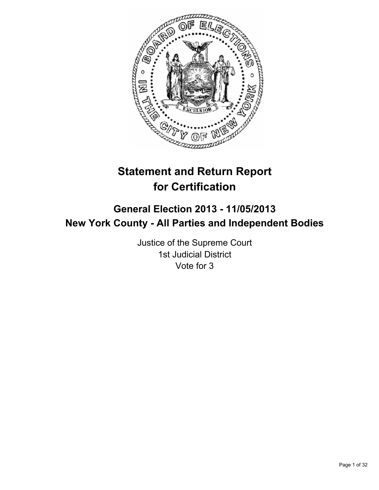

# **Statement and Return Report for Certification**

## **General Election 2013 - 11/05/2013 New York County - All Parties and Independent Bodies**

Justice of the Supreme Court 1st Judicial District Vote for 3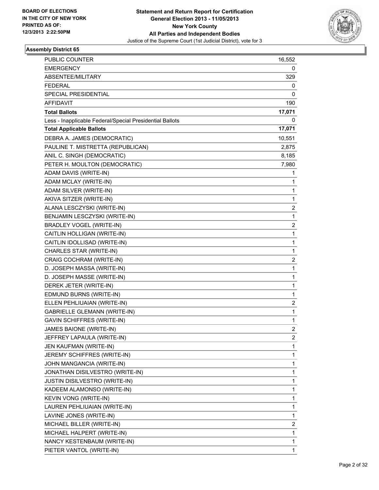

| <b>PUBLIC COUNTER</b>                                    | 16,552                  |
|----------------------------------------------------------|-------------------------|
| <b>EMERGENCY</b>                                         | 0                       |
| ABSENTEE/MILITARY                                        | 329                     |
| <b>FEDERAL</b>                                           | 0                       |
| SPECIAL PRESIDENTIAL                                     | 0                       |
| AFFIDAVIT                                                | 190                     |
| <b>Total Ballots</b>                                     | 17,071                  |
| Less - Inapplicable Federal/Special Presidential Ballots | 0                       |
| <b>Total Applicable Ballots</b>                          | 17,071                  |
| DEBRA A. JAMES (DEMOCRATIC)                              | 10,551                  |
| PAULINE T. MISTRETTA (REPUBLICAN)                        | 2,875                   |
| ANIL C. SINGH (DEMOCRATIC)                               | 8,185                   |
| PETER H. MOULTON (DEMOCRATIC)                            | 7,980                   |
| ADAM DAVIS (WRITE-IN)                                    | 1                       |
| ADAM MCLAY (WRITE-IN)                                    | 1                       |
| ADAM SILVER (WRITE-IN)                                   | 1                       |
| AKIVA SITZER (WRITE-IN)                                  | 1                       |
| ALANA LESCZYSKI (WRITE-IN)                               | 2                       |
| BENJAMIN LESCZYSKI (WRITE-IN)                            | 1                       |
| <b>BRADLEY VOGEL (WRITE-IN)</b>                          | $\overline{\mathbf{c}}$ |
| CAITLIN HOLLIGAN (WRITE-IN)                              | 1                       |
| CAITLIN IDOLLISAD (WRITE-IN)                             | 1                       |
| CHARLES STAR (WRITE-IN)                                  | 1                       |
| CRAIG COCHRAM (WRITE-IN)                                 | 2                       |
| D. JOSEPH MASSA (WRITE-IN)                               | 1                       |
| D. JOSEPH MASSE (WRITE-IN)                               | 1                       |
| DEREK JETER (WRITE-IN)                                   | $\mathbf{1}$            |
| EDMUND BURNS (WRITE-IN)                                  | 1                       |
| ELLEN PEHLIUAIAN (WRITE-IN)                              | 2                       |
| <b>GABRIELLE GLEMANN (WRITE-IN)</b>                      | 1                       |
| <b>GAVIN SCHIFFRES (WRITE-IN)</b>                        | 1                       |
| JAMES BAIONE (WRITE-IN)                                  | 2                       |
| JEFFREY LAPAULA (WRITE-IN)                               | $\overline{c}$          |
| JEN KAUFMAN (WRITE-IN)                                   | 1                       |
| JEREMY SCHIFFRES (WRITE-IN)                              | 1                       |
| JOHN MANGANCIA (WRITE-IN)                                | 1                       |
| JONATHAN DISILVESTRO (WRITE-IN)                          | 1                       |
| JUSTIN DISILVESTRO (WRITE-IN)                            | 1                       |
| KADEEM ALAMONSO (WRITE-IN)                               | 1                       |
| KEVIN VONG (WRITE-IN)                                    | 1                       |
| LAUREN PEHLIUAIAN (WRITE-IN)                             | 1                       |
| LAVINE JONES (WRITE-IN)                                  | 1                       |
| MICHAEL BILLER (WRITE-IN)                                | 2                       |
| MICHAEL HALPERT (WRITE-IN)                               | 1                       |
| NANCY KESTENBAUM (WRITE-IN)                              | 1                       |
| PIETER VANTOL (WRITE-IN)                                 | $\mathbf{1}$            |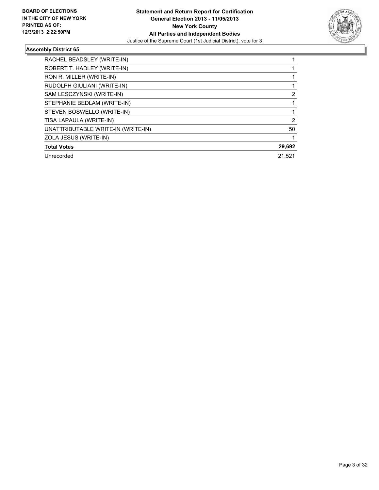

| RACHEL BEADSLEY (WRITE-IN)         |        |
|------------------------------------|--------|
| ROBERT T. HADLEY (WRITE-IN)        |        |
| RON R. MILLER (WRITE-IN)           |        |
| RUDOLPH GIULIANI (WRITE-IN)        |        |
| SAM LESCZYNSKI (WRITE-IN)          | 2      |
| STEPHANIE BEDLAM (WRITE-IN)        |        |
| STEVEN BOSWELLO (WRITE-IN)         |        |
| TISA LAPAULA (WRITE-IN)            | 2      |
| UNATTRIBUTABLE WRITE-IN (WRITE-IN) | 50     |
| ZOLA JESUS (WRITE-IN)              |        |
| <b>Total Votes</b>                 | 29,692 |
| Unrecorded                         | 21,521 |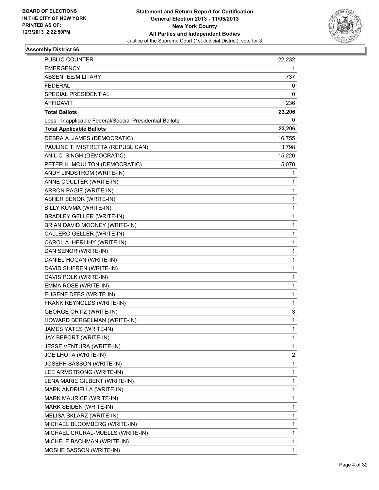

| <b>PUBLIC COUNTER</b>                                    | 22,232       |
|----------------------------------------------------------|--------------|
| <b>EMERGENCY</b>                                         | 1            |
| ABSENTEE/MILITARY                                        | 737          |
| <b>FEDERAL</b>                                           | 0            |
| SPECIAL PRESIDENTIAL                                     | 0            |
| AFFIDAVIT                                                | 236          |
| <b>Total Ballots</b>                                     | 23,206       |
| Less - Inapplicable Federal/Special Presidential Ballots | 0            |
| <b>Total Applicable Ballots</b>                          | 23,206       |
| DEBRA A. JAMES (DEMOCRATIC)                              | 16,755       |
| PAULINE T. MISTRETTA (REPUBLICAN)                        | 3,798        |
| ANIL C. SINGH (DEMOCRATIC)                               | 15,220       |
| PETER H. MOULTON (DEMOCRATIC)                            | 15,070       |
| ANDY LINDSTROM (WRITE-IN)                                | 1            |
| ANNE COULTER (WRITE-IN)                                  | 1            |
| ARRON PAGIE (WRITE-IN)                                   | 1            |
| <b>ASHER SENOR (WRITE-IN)</b>                            | 1            |
| BILLY KUVMA (WRITE-IN)                                   | 1            |
| <b>BRADLEY GELLER (WRITE-IN)</b>                         | 1            |
| BRIAN DAVID MOONEY (WRITE-IN)                            | 1            |
| CALLERO GELLER (WRITE-IN)                                | $\mathbf 1$  |
| CAROL A. HERLIHY (WRITE-IN)                              | 1            |
| DAN SENOR (WRITE-IN)                                     | 1            |
| DANIEL HOGAN (WRITE-IN)                                  | 1            |
| DAVID SHIFREN (WRITE-IN)                                 | 1            |
| DAVIS POLK (WRITE-IN)                                    | 1            |
| EMMA ROSE (WRITE-IN)                                     | $\mathbf 1$  |
| EUGENE DEBS (WRITE-IN)                                   | 1            |
| FRANK REYNOLDS (WRITE-IN)                                | 1            |
| <b>GEORGE ORTIZ (WRITE-IN)</b>                           | 3            |
| HOWARD BERGELMAN (WRITE-IN)                              | 1            |
| JAMES YATES (WRITE-IN)                                   | 1            |
| JAY BEPORT (WRITE-IN)                                    | 1            |
| JESSE VENTURA (WRITE-IN)                                 | 1            |
| JOE LHOTA (WRITE-IN)                                     | 2            |
| JOSEPH SASSON (WRITE-IN)                                 | 1            |
| LEE ARMSTRONG (WRITE-IN)                                 | 1            |
| LENA MARIE GILBERT (WRITE-IN)                            | 1            |
| MARK ANDRIELLA (WRITE-IN)                                | 1            |
| MARK MAURICE (WRITE-IN)                                  | 1            |
| MARK SEIDEN (WRITE-IN)                                   | $\mathbf{1}$ |
| MELISA SKLARZ (WRITE-IN)                                 | 1            |
| MICHAEL BLOOMBERG (WRITE-IN)                             | 1            |
| MICHAEL CRURAL-MUELLS (WRITE-IN)                         | 1            |
| MICHELE BACHMAN (WRITE-IN)                               | 1            |
| MOSHE SASSON (WRITE-IN)                                  | 1            |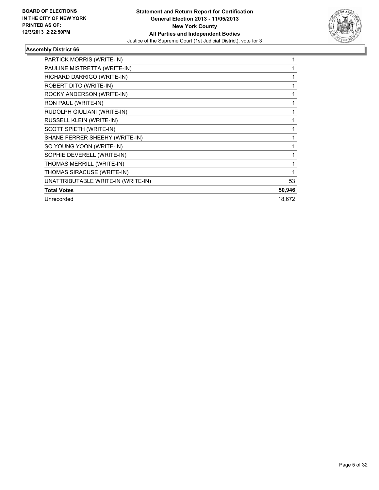

| PARTICK MORRIS (WRITE-IN)          |        |
|------------------------------------|--------|
| PAULINE MISTRETTA (WRITE-IN)       |        |
| RICHARD DARRIGO (WRITE-IN)         |        |
| ROBERT DITO (WRITE-IN)             |        |
| ROCKY ANDERSON (WRITE-IN)          |        |
| RON PAUL (WRITE-IN)                |        |
| RUDOLPH GIULIANI (WRITE-IN)        |        |
| RUSSELL KLEIN (WRITE-IN)           |        |
| SCOTT SPIETH (WRITE-IN)            |        |
| SHANE FERRER SHEEHY (WRITE-IN)     |        |
| SO YOUNG YOON (WRITE-IN)           |        |
| SOPHIE DEVERELL (WRITE-IN)         |        |
| THOMAS MERRILL (WRITE-IN)          |        |
| THOMAS SIRACUSE (WRITE-IN)         |        |
| UNATTRIBUTABLE WRITE-IN (WRITE-IN) | 53     |
| <b>Total Votes</b>                 | 50,946 |
| Unrecorded                         | 18,672 |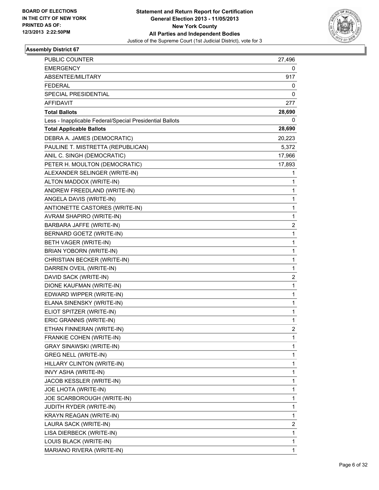

| <b>PUBLIC COUNTER</b>                                    | 27,496       |
|----------------------------------------------------------|--------------|
| <b>EMERGENCY</b>                                         | 0            |
| ABSENTEE/MILITARY                                        | 917          |
| <b>FEDERAL</b>                                           | 0            |
| SPECIAL PRESIDENTIAL                                     | 0            |
| AFFIDAVIT                                                | 277          |
| <b>Total Ballots</b>                                     | 28,690       |
| Less - Inapplicable Federal/Special Presidential Ballots | 0            |
| <b>Total Applicable Ballots</b>                          | 28,690       |
| DEBRA A. JAMES (DEMOCRATIC)                              | 20,223       |
| PAULINE T. MISTRETTA (REPUBLICAN)                        | 5,372        |
| ANIL C. SINGH (DEMOCRATIC)                               | 17,966       |
| PETER H. MOULTON (DEMOCRATIC)                            | 17,893       |
| ALEXANDER SELINGER (WRITE-IN)                            | 1            |
| ALTON MADDOX (WRITE-IN)                                  | 1            |
| ANDREW FREEDLAND (WRITE-IN)                              | 1            |
| ANGELA DAVIS (WRITE-IN)                                  | 1            |
| ANTIONETTE CASTORES (WRITE-IN)                           | 1            |
| AVRAM SHAPIRO (WRITE-IN)                                 | 1            |
| BARBARA JAFFE (WRITE-IN)                                 | 2            |
| BERNARD GOETZ (WRITE-IN)                                 | $\mathbf 1$  |
| BETH VAGER (WRITE-IN)                                    | 1            |
| <b>BRIAN YOBORN (WRITE-IN)</b>                           | 1            |
| CHRISTIAN BECKER (WRITE-IN)                              | 1            |
| DARREN OVEIL (WRITE-IN)                                  | 1            |
| DAVID SACK (WRITE-IN)                                    | 2            |
| DIONE KAUFMAN (WRITE-IN)                                 | $\mathbf 1$  |
| EDWARD WIPPER (WRITE-IN)                                 | 1            |
| ELANA SINENSKY (WRITE-IN)                                | 1            |
| ELIOT SPITZER (WRITE-IN)                                 | $\mathbf 1$  |
| ERIC GRANNIS (WRITE-IN)                                  | 1            |
| ETHAN FINNERAN (WRITE-IN)                                | 2            |
| FRANKIE COHEN (WRITE-IN)                                 | 1            |
| <b>GRAY SINAWSKI (WRITE-IN)</b>                          | 1            |
| <b>GREG NELL (WRITE-IN)</b>                              | $\mathbf{1}$ |
| HILLARY CLINTON (WRITE-IN)                               | 1            |
| INVY ASHA (WRITE-IN)                                     | 1            |
| JACOB KESSLER (WRITE-IN)                                 | 1            |
| JOE LHOTA (WRITE-IN)                                     | 1            |
| JOE SCARBOROUGH (WRITE-IN)                               | 1            |
| JUDITH RYDER (WRITE-IN)                                  | $\mathbf{1}$ |
| KRAYN REAGAN (WRITE-IN)                                  | 1            |
| LAURA SACK (WRITE-IN)                                    | 2            |
| LISA DIERBECK (WRITE-IN)                                 | 1            |
| LOUIS BLACK (WRITE-IN)                                   | 1            |
| MARIANO RIVERA (WRITE-IN)                                | 1            |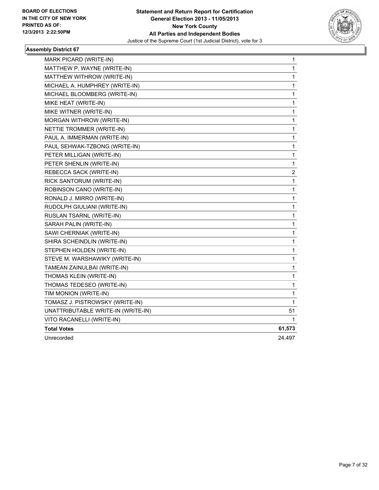

| MARK PICARD (WRITE-IN)             | 1            |
|------------------------------------|--------------|
| MATTHEW P. WAYNE (WRITE-IN)        | 1            |
| MATTHEW WITHROW (WRITE-IN)         | 1            |
| MICHAEL A. HUMPHREY (WRITE-IN)     | $\mathbf 1$  |
| MICHAEL BLOOMBERG (WRITE-IN)       | $\mathbf{1}$ |
| MIKE HEAT (WRITE-IN)               | $\mathbf 1$  |
| MIKE WITNER (WRITE-IN)             | $\mathbf 1$  |
| MORGAN WITHROW (WRITE-IN)          | $\mathbf 1$  |
| NETTIE TROMMER (WRITE-IN)          | $\mathbf{1}$ |
| PAUL A. IMMERMAN (WRITE-IN)        | 1            |
| PAUL SEHWAK-TZBONG (WRITE-IN)      | 1            |
| PETER MILLIGAN (WRITE-IN)          | $\mathbf 1$  |
| PETER SHENLIN (WRITE-IN)           | 1            |
| REBECCA SACK (WRITE-IN)            | 2            |
| RICK SANTORUM (WRITE-IN)           | 1            |
| ROBINSON CANO (WRITE-IN)           | 1            |
| RONALD J. MIRRO (WRITE-IN)         | 1            |
| RUDOLPH GIULIANI (WRITE-IN)        | 1            |
| RUSLAN TSARNL (WRITE-IN)           | 1            |
| SARAH PALIN (WRITE-IN)             | 1            |
| SAWI CHERNIAK (WRITE-IN)           | 1            |
| SHIRA SCHEINDLIN (WRITE-IN)        | 1            |
| STEPHEN HOLDEN (WRITE-IN)          | 1            |
| STEVE M. WARSHAWIKY (WRITE-IN)     | 1            |
| TAMEAN ZAINULBAI (WRITE-IN)        | 1            |
| THOMAS KLEIN (WRITE-IN)            | 1            |
| THOMAS TEDESEO (WRITE-IN)          | 1            |
| TIM MONION (WRITE-IN)              | 1            |
| TOMASZ J. PISTROWSKY (WRITE-IN)    | 1            |
| UNATTRIBUTABLE WRITE-IN (WRITE-IN) | 51           |
| VITO RACANELLI (WRITE-IN)          | 1            |
| <b>Total Votes</b>                 | 61,573       |
| Unrecorded                         | 24,497       |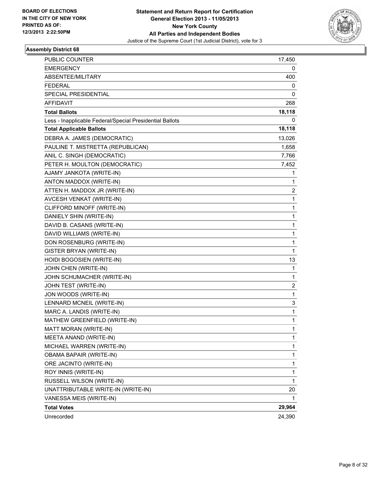

| <b>PUBLIC COUNTER</b>                                    | 17,450       |
|----------------------------------------------------------|--------------|
| <b>EMERGENCY</b>                                         | 0            |
| ABSENTEE/MILITARY                                        | 400          |
| <b>FEDERAL</b>                                           | 0            |
| SPECIAL PRESIDENTIAL                                     | 0            |
| AFFIDAVIT                                                | 268          |
| <b>Total Ballots</b>                                     | 18,118       |
| Less - Inapplicable Federal/Special Presidential Ballots | 0            |
| <b>Total Applicable Ballots</b>                          | 18,118       |
| DEBRA A. JAMES (DEMOCRATIC)                              | 13,026       |
| PAULINE T. MISTRETTA (REPUBLICAN)                        | 1,658        |
| ANIL C. SINGH (DEMOCRATIC)                               | 7,766        |
| PETER H. MOULTON (DEMOCRATIC)                            | 7,452        |
| AJAMY JANKOTA (WRITE-IN)                                 | 1            |
| ANTON MADDOX (WRITE-IN)                                  | 1            |
| ATTEN H. MADDOX JR (WRITE-IN)                            | 2            |
| AVCESH VENKAT (WRITE-IN)                                 | 1            |
| CLIFFORD MINOFF (WRITE-IN)                               | 1            |
| DANIELY SHIN (WRITE-IN)                                  | $\mathbf{1}$ |
| DAVID B. CASANS (WRITE-IN)                               | 1            |
| DAVID WILLIAMS (WRITE-IN)                                | 1            |
| DON ROSENBURG (WRITE-IN)                                 | 1            |
| <b>GISTER BRYAN (WRITE-IN)</b>                           | 1            |
| HOIDI BOGOSIEN (WRITE-IN)                                | 13           |
| JOHN CHEN (WRITE-IN)                                     | 1            |
| JOHN SCHUMACHER (WRITE-IN)                               | 1            |
| JOHN TEST (WRITE-IN)                                     | 2            |
| JON WOODS (WRITE-IN)                                     | 1            |
| LENNARD MCNEIL (WRITE-IN)                                | 3            |
| MARC A. LANDIS (WRITE-IN)                                | 1            |
| MATHEW GREENFIELD (WRITE-IN)                             | 1            |
| MATT MORAN (WRITE-IN)                                    | 1            |
| MEETA ANAND (WRITE-IN)                                   | 1            |
| MICHAEL WARREN (WRITE-IN)                                | 1            |
| <b>OBAMA BAPAIR (WRITE-IN)</b>                           | 1            |
| ORE JACINTO (WRITE-IN)                                   | 1            |
| ROY INNIS (WRITE-IN)                                     | 1            |
| RUSSELL WILSON (WRITE-IN)                                | 1            |
| UNATTRIBUTABLE WRITE-IN (WRITE-IN)                       | 20           |
| VANESSA MEIS (WRITE-IN)                                  |              |
| <b>Total Votes</b>                                       | 29,964       |
| Unrecorded                                               | 24,390       |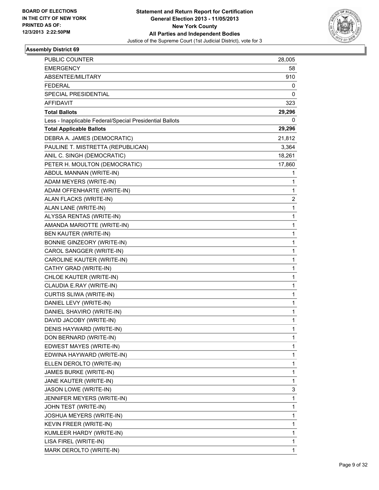

| PUBLIC COUNTER                                                                   | 28,005       |
|----------------------------------------------------------------------------------|--------------|
| <b>EMERGENCY</b>                                                                 | 58           |
| <b>ABSENTEE/MILITARY</b>                                                         | 910          |
| <b>FEDERAL</b>                                                                   | 0            |
| SPECIAL PRESIDENTIAL                                                             | 0            |
| AFFIDAVIT                                                                        | 323          |
|                                                                                  | 29,296       |
| <b>Total Ballots</b><br>Less - Inapplicable Federal/Special Presidential Ballots | 0            |
| <b>Total Applicable Ballots</b>                                                  | 29,296       |
|                                                                                  |              |
| DEBRA A. JAMES (DEMOCRATIC)                                                      | 21,812       |
| PAULINE T. MISTRETTA (REPUBLICAN)                                                | 3,364        |
| ANIL C. SINGH (DEMOCRATIC)                                                       | 18,261       |
| PETER H. MOULTON (DEMOCRATIC)                                                    | 17,860       |
| ABDUL MANNAN (WRITE-IN)                                                          | 1            |
| ADAM MEYERS (WRITE-IN)                                                           | 1            |
| ADAM OFFENHARTE (WRITE-IN)                                                       | 1            |
| ALAN FLACKS (WRITE-IN)                                                           | 2            |
| ALAN LANE (WRITE-IN)                                                             | 1            |
| ALYSSA RENTAS (WRITE-IN)                                                         | 1            |
| AMANDA MARIOTTE (WRITE-IN)                                                       | $\mathbf{1}$ |
| BEN KAUTER (WRITE-IN)                                                            | 1            |
| BONNIE GINZEORY (WRITE-IN)                                                       | 1            |
| CAROL SANGGER (WRITE-IN)                                                         | $\mathbf{1}$ |
| CAROLINE KAUTER (WRITE-IN)                                                       | 1            |
| CATHY GRAD (WRITE-IN)                                                            | 1            |
| CHLOE KAUTER (WRITE-IN)                                                          | $\mathbf{1}$ |
| CLAUDIA E.RAY (WRITE-IN)                                                         | 1            |
| CURTIS SLIWA (WRITE-IN)                                                          | 1            |
| DANIEL LEVY (WRITE-IN)                                                           | $\mathbf{1}$ |
| DANIEL SHAVIRO (WRITE-IN)                                                        | 1            |
| DAVID JACOBY (WRITE-IN)                                                          | 1            |
| DENIS HAYWARD (WRITE-IN)                                                         | 1            |
| DON BERNARD (WRITE-IN)                                                           | 1            |
| EDWEST MAYES (WRITE-IN)                                                          | 1            |
| EDWINA HAYWARD (WRITE-IN)                                                        | 1            |
| ELLEN DEROLTO (WRITE-IN)                                                         | 1            |
| JAMES BURKE (WRITE-IN)                                                           | 1            |
| JANE KAUTER (WRITE-IN)                                                           | 1            |
| JASON LOWE (WRITE-IN)                                                            | 3            |
| JENNIFER MEYERS (WRITE-IN)                                                       | 1            |
| JOHN TEST (WRITE-IN)                                                             | 1            |
| JOSHUA MEYERS (WRITE-IN)                                                         | 1            |
| KEVIN FREER (WRITE-IN)                                                           | 1            |
| KUMLEER HARDY (WRITE-IN)                                                         | 1            |
| LISA FIREL (WRITE-IN)                                                            | 1            |
| MARK DEROLTO (WRITE-IN)                                                          | 1            |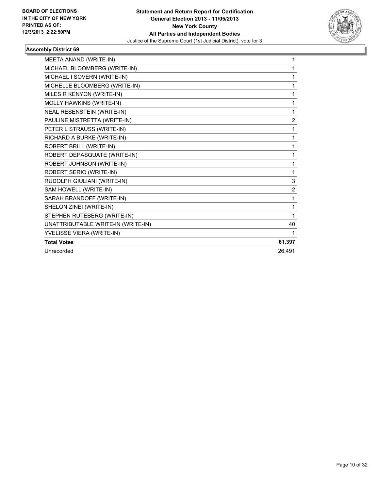

| MEETA ANAND (WRITE-IN)             | 1              |
|------------------------------------|----------------|
| MICHAEL BLOOMBERG (WRITE-IN)       | 1              |
| MICHAEL I SOVERN (WRITE-IN)        | 1              |
| MICHELLE BLOOMBERG (WRITE-IN)      | 1              |
| MILES R KENYON (WRITE-IN)          | 1              |
| MOLLY HAWKINS (WRITE-IN)           | 1              |
| NEAL RESENSTEIN (WRITE-IN)         | 1              |
| PAULINE MISTRETTA (WRITE-IN)       | $\overline{2}$ |
| PETER L STRAUSS (WRITE-IN)         | 1              |
| RICHARD A BURKE (WRITE-IN)         | 1              |
| ROBERT BRILL (WRITE-IN)            | 1              |
| ROBERT DEPASQUATE (WRITE-IN)       | 1              |
| ROBERT JOHNSON (WRITE-IN)          | 1              |
| ROBERT SERIO (WRITE-IN)            | 1              |
| RUDOLPH GIULIANI (WRITE-IN)        | 3              |
| SAM HOWELL (WRITE-IN)              | $\overline{2}$ |
| SARAH BRANDOFF (WRITE-IN)          | 1              |
| SHELON ZINEI (WRITE-IN)            | 1              |
| STEPHEN RUTEBERG (WRITE-IN)        | 1              |
| UNATTRIBUTABLE WRITE-IN (WRITE-IN) | 40             |
| YVELISSE VIERA (WRITE-IN)          | 1              |
| <b>Total Votes</b>                 | 61,397         |
| Unrecorded                         | 26,491         |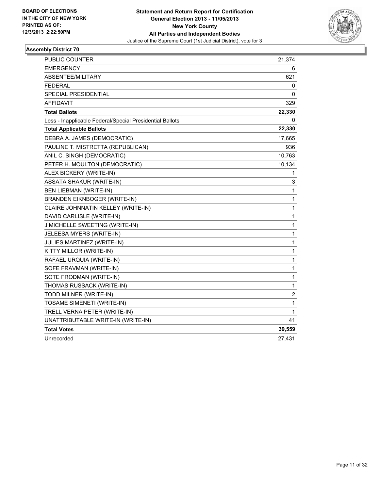

| PUBLIC COUNTER                                           | 21,374                  |
|----------------------------------------------------------|-------------------------|
| <b>EMERGENCY</b>                                         | 6                       |
| ABSENTEE/MILITARY                                        | 621                     |
| <b>FEDERAL</b>                                           | 0                       |
| SPECIAL PRESIDENTIAL                                     | 0                       |
| <b>AFFIDAVIT</b>                                         | 329                     |
| <b>Total Ballots</b>                                     | 22,330                  |
| Less - Inapplicable Federal/Special Presidential Ballots | 0                       |
| <b>Total Applicable Ballots</b>                          | 22,330                  |
| DEBRA A. JAMES (DEMOCRATIC)                              | 17,665                  |
| PAULINE T. MISTRETTA (REPUBLICAN)                        | 936                     |
| ANIL C. SINGH (DEMOCRATIC)                               | 10,763                  |
| PETER H. MOULTON (DEMOCRATIC)                            | 10,134                  |
| ALEX BICKERY (WRITE-IN)                                  | 1                       |
| <b>ASSATA SHAKUR (WRITE-IN)</b>                          | 3                       |
| <b>BEN LIEBMAN (WRITE-IN)</b>                            | 1                       |
| <b>BRANDEN EIKNBOGER (WRITE-IN)</b>                      | 1                       |
| CLAIRE JOHNNATIN KELLEY (WRITE-IN)                       | 1                       |
| DAVID CARLISLE (WRITE-IN)                                | 1                       |
| J MICHELLE SWEETING (WRITE-IN)                           | 1                       |
| JELEESA MYERS (WRITE-IN)                                 | 1                       |
| JULIES MARTINEZ (WRITE-IN)                               | 1                       |
| KITTY MILLOR (WRITE-IN)                                  | 1                       |
| RAFAEL URQUIA (WRITE-IN)                                 | $\mathbf{1}$            |
| SOFE FRAVMAN (WRITE-IN)                                  | 1                       |
| SOTE FRODMAN (WRITE-IN)                                  | 1                       |
| THOMAS RUSSACK (WRITE-IN)                                | 1                       |
| TODD MILNER (WRITE-IN)                                   | $\overline{\mathbf{c}}$ |
| TOSAME SIMENETI (WRITE-IN)                               | 1                       |
| TRELL VERNA PETER (WRITE-IN)                             | 1                       |
| UNATTRIBUTABLE WRITE-IN (WRITE-IN)                       | 41                      |
| <b>Total Votes</b>                                       | 39,559                  |
| Unrecorded                                               | 27,431                  |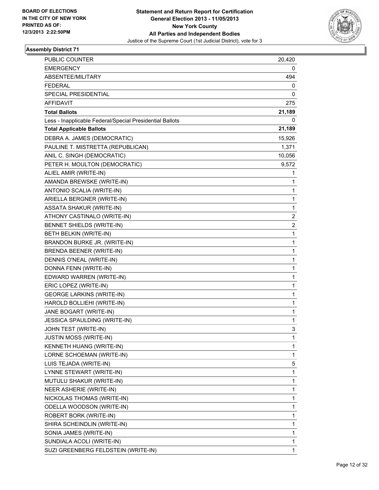

| PUBLIC COUNTER                                           | 20,420                  |
|----------------------------------------------------------|-------------------------|
| <b>EMERGENCY</b>                                         | 0                       |
| ABSENTEE/MILITARY                                        | 494                     |
| <b>FEDERAL</b>                                           | 0                       |
| SPECIAL PRESIDENTIAL                                     | 0                       |
| <b>AFFIDAVIT</b>                                         | 275                     |
| <b>Total Ballots</b>                                     | 21,189                  |
| Less - Inapplicable Federal/Special Presidential Ballots | 0                       |
| <b>Total Applicable Ballots</b>                          | 21,189                  |
| DEBRA A. JAMES (DEMOCRATIC)                              | 15,926                  |
| PAULINE T. MISTRETTA (REPUBLICAN)                        | 1,371                   |
| ANIL C. SINGH (DEMOCRATIC)                               | 10,056                  |
| PETER H. MOULTON (DEMOCRATIC)                            | 9,572                   |
| ALIEL AMIR (WRITE-IN)                                    | 1                       |
| AMANDA BREWSKE (WRITE-IN)                                | 1                       |
| ANTONIO SCALIA (WRITE-IN)                                | 1                       |
| ARIELLA BERGNER (WRITE-IN)                               | 1                       |
| <b>ASSATA SHAKUR (WRITE-IN)</b>                          | 1                       |
| ATHONY CASTINALO (WRITE-IN)                              | $\overline{\mathbf{c}}$ |
| BENNET SHIELDS (WRITE-IN)                                | $\overline{\mathbf{c}}$ |
| BETH BELKIN (WRITE-IN)                                   | 1                       |
| BRANDON BURKE JR. (WRITE-IN)                             | 1                       |
| BRENDA BEENER (WRITE-IN)                                 | 1                       |
| DENNIS O'NEAL (WRITE-IN)                                 | 1                       |
| DONNA FENN (WRITE-IN)                                    | 1                       |
| EDWARD WARREN (WRITE-IN)                                 | 1                       |
| ERIC LOPEZ (WRITE-IN)                                    | 1                       |
| <b>GEORGE LARKINS (WRITE-IN)</b>                         | 1                       |
| HAROLD BOLLIEHI (WRITE-IN)                               | 1                       |
| JANE BOGART (WRITE-IN)                                   | 1                       |
| JESSICA SPAULDING (WRITE-IN)                             | $\mathbf{1}$            |
| JOHN TEST (WRITE-IN)                                     | 3                       |
| <b>JUSTIN MOSS (WRITE-IN)</b>                            | 1                       |
| KENNETH HUANG (WRITE-IN)                                 | $\mathbf{1}$            |
| LORNE SCHOEMAN (WRITE-IN)                                | 1                       |
| LUIS TEJADA (WRITE-IN)                                   | 5                       |
| LYNNE STEWART (WRITE-IN)                                 | $\mathbf 1$             |
| MUTULU SHAKUR (WRITE-IN)                                 | 1                       |
| NEER ASHERIE (WRITE-IN)                                  | 1                       |
| NICKOLAS THOMAS (WRITE-IN)                               | $\mathbf{1}$            |
| ODELLA WOODSON (WRITE-IN)                                | 1                       |
| ROBERT BORK (WRITE-IN)                                   | 1                       |
| SHIRA SCHEINDLIN (WRITE-IN)                              | 1                       |
| SONIA JAMES (WRITE-IN)                                   | 1                       |
| SUNDIALA ACOLI (WRITE-IN)                                | 1                       |
| SUZI GREENBERG FELDSTEIN (WRITE-IN)                      | $\mathbf{1}$            |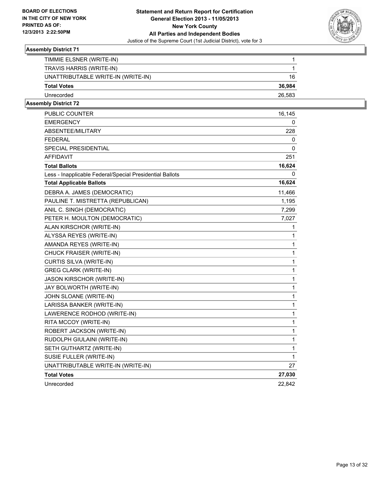

| TIMMIE ELSNER (WRITE-IN)           |        |
|------------------------------------|--------|
|                                    |        |
| TRAVIS HARRIS (WRITE-IN)           |        |
|                                    |        |
| UNATTRIBUTABLE WRITE-IN (WRITE-IN) | 16     |
| <b>Total Votes</b>                 | 36,984 |
|                                    |        |
| Unrecorded                         | 26,583 |
|                                    |        |
|                                    |        |

| <b>PUBLIC COUNTER</b>                                    | 16,145       |
|----------------------------------------------------------|--------------|
| EMERGENCY                                                | 0            |
| ABSENTEE/MILITARY                                        | 228          |
| <b>FEDERAL</b>                                           | 0            |
| SPECIAL PRESIDENTIAL                                     | 0            |
| <b>AFFIDAVIT</b>                                         | 251          |
| <b>Total Ballots</b>                                     | 16,624       |
| Less - Inapplicable Federal/Special Presidential Ballots | 0            |
| <b>Total Applicable Ballots</b>                          | 16,624       |
| DEBRA A. JAMES (DEMOCRATIC)                              | 11,466       |
| PAULINE T. MISTRETTA (REPUBLICAN)                        | 1,195        |
| ANIL C. SINGH (DEMOCRATIC)                               | 7,299        |
| PETER H. MOULTON (DEMOCRATIC)                            | 7,027        |
| ALAN KIRSCHOR (WRITE-IN)                                 | 1            |
| ALYSSA REYES (WRITE-IN)                                  | 1            |
| AMANDA REYES (WRITE-IN)                                  | 1            |
| CHUCK FRAISER (WRITE-IN)                                 | 1            |
| CURTIS SILVA (WRITE-IN)                                  | $\mathbf{1}$ |
| <b>GREG CLARK (WRITE-IN)</b>                             | $\mathbf 1$  |
| <b>JASON KIRSCHOR (WRITE-IN)</b>                         | 1            |
| JAY BOLWORTH (WRITE-IN)                                  | $\mathbf 1$  |
| JOHN SLOANE (WRITE-IN)                                   | 1            |
| LARISSA BANKER (WRITE-IN)                                | $\mathbf{1}$ |
| LAWERENCE RODHOD (WRITE-IN)                              | 1            |
| RITA MCCOY (WRITE-IN)                                    | 1            |
| ROBERT JACKSON (WRITE-IN)                                | 1            |
| RUDOLPH GIULAINI (WRITE-IN)                              | $\mathbf{1}$ |
| SETH GUTHARTZ (WRITE-IN)                                 | 1            |
| SUSIE FULLER (WRITE-IN)                                  | 1            |
| UNATTRIBUTABLE WRITE-IN (WRITE-IN)                       | 27           |
| <b>Total Votes</b>                                       | 27,030       |
| Unrecorded                                               | 22,842       |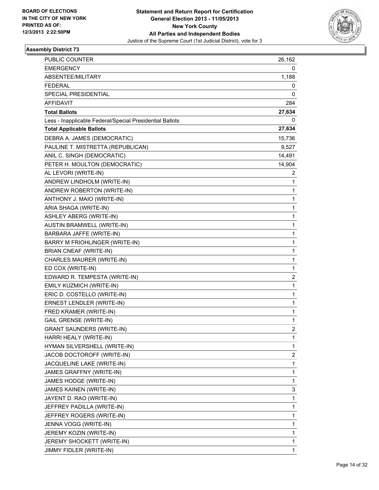

| <b>PUBLIC COUNTER</b>                                    | 26,162 |
|----------------------------------------------------------|--------|
| <b>EMERGENCY</b>                                         | 0      |
| ABSENTEE/MILITARY                                        | 1,188  |
| <b>FEDERAL</b>                                           | 0      |
| SPECIAL PRESIDENTIAL                                     | 0      |
| AFFIDAVIT                                                | 284    |
| <b>Total Ballots</b>                                     | 27,634 |
| Less - Inapplicable Federal/Special Presidential Ballots | 0      |
| <b>Total Applicable Ballots</b>                          | 27,634 |
| DEBRA A. JAMES (DEMOCRATIC)                              | 15,736 |
| PAULINE T. MISTRETTA (REPUBLICAN)                        | 9,527  |
| ANIL C. SINGH (DEMOCRATIC)                               | 14,491 |
| PETER H. MOULTON (DEMOCRATIC)                            | 14,904 |
| AL LEVORI (WRITE-IN)                                     | 2      |
| ANDREW LINDHOLM (WRITE-IN)                               | 1      |
| ANDREW ROBERTON (WRITE-IN)                               | 1      |
| ANTHONY J. MAIO (WRITE-IN)                               | 1      |
| ARIA SHAGA (WRITE-IN)                                    | 1      |
| ASHLEY ABERG (WRITE-IN)                                  | 1      |
| <b>AUSTIN BRAMWELL (WRITE-IN)</b>                        | 1      |
| BARBARA JAFFE (WRITE-IN)                                 | 1      |
| BARRY M FRIOHLINGER (WRITE-IN)                           | 1      |
| <b>BRIAN CNEAF (WRITE-IN)</b>                            | 1      |
| CHARLES MAURER (WRITE-IN)                                | 1      |
| ED COX (WRITE-IN)                                        | 1      |
| EDWARD R. TEMPESTA (WRITE-IN)                            | 2      |
| EMILY KUZMICH (WRITE-IN)                                 | 1      |
| ERIC D. COSTELLO (WRITE-IN)                              | 1      |
| ERNEST LENDLER (WRITE-IN)                                | 1      |
| FRED KRAMER (WRITE-IN)                                   | 1      |
| <b>GAIL GRENSE (WRITE-IN)</b>                            | 1      |
| <b>GRANT SAUNDERS (WRITE-IN)</b>                         | 2      |
| HARRI HEALY (WRITE-IN)                                   | 1      |
| HYMAN SILVERSHELL (WRITE-IN)                             | 1      |
| JACOB DOCTOROFF (WRITE-IN)                               | 2      |
| JACQUELINE LAKE (WRITE-IN)                               | 1      |
| JAMES GRAFFNY (WRITE-IN)                                 | 1      |
| JAMES HODGE (WRITE-IN)                                   | 1      |
| JAMES KAINEN (WRITE-IN)                                  | 3      |
| JAYENT D. RAO (WRITE-IN)                                 | 1      |
| JEFFREY PADILLA (WRITE-IN)                               | 1      |
| JEFFREY ROGERS (WRITE-IN)                                | 1      |
| JENNA VOGG (WRITE-IN)                                    | 1      |
| JEREMY KOZIN (WRITE-IN)                                  | 1      |
| JEREMY SHOCKETT (WRITE-IN)                               | 1      |
| JIMMY FIDLER (WRITE-IN)                                  | 1      |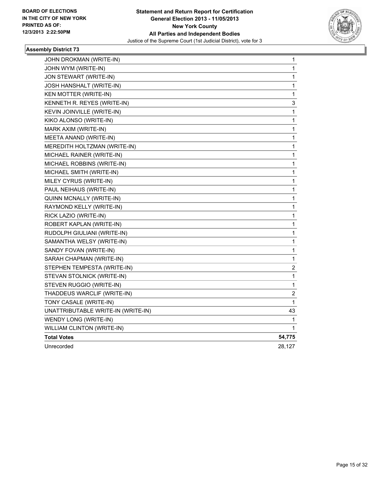

| JOHN DROKMAN (WRITE-IN)            | $\mathbf 1$  |
|------------------------------------|--------------|
| JOHN WYM (WRITE-IN)                | 1            |
| JON STEWART (WRITE-IN)             | 1            |
| JOSH HANSHALT (WRITE-IN)           | 1            |
| KEN MOTTER (WRITE-IN)              | 1            |
| KENNETH R. REYES (WRITE-IN)        | 3            |
| KEVIN JOINVILLE (WRITE-IN)         | $\mathbf{1}$ |
| KIKO ALONSO (WRITE-IN)             | 1            |
| MARK AXIM (WRITE-IN)               | 1            |
| MEETA ANAND (WRITE-IN)             | 1            |
| MEREDITH HOLTZMAN (WRITE-IN)       | 1            |
| MICHAEL RAINER (WRITE-IN)          | 1            |
| MICHAEL ROBBINS (WRITE-IN)         | 1            |
| MICHAEL SMITH (WRITE-IN)           | $\mathbf 1$  |
| MILEY CYRUS (WRITE-IN)             | 1            |
| PAUL NEIHAUS (WRITE-IN)            | 1            |
| QUINN MCNALLY (WRITE-IN)           | 1            |
| RAYMOND KELLY (WRITE-IN)           | 1            |
| RICK LAZIO (WRITE-IN)              | 1            |
| ROBERT KAPLAN (WRITE-IN)           | 1            |
| RUDOLPH GIULIANI (WRITE-IN)        | 1            |
| SAMANTHA WELSY (WRITE-IN)          | 1            |
| SANDY FOVAN (WRITE-IN)             | 1            |
| SARAH CHAPMAN (WRITE-IN)           | 1            |
| STEPHEN TEMPESTA (WRITE-IN)        | 2            |
| STEVAN STOLNICK (WRITE-IN)         | 1            |
| STEVEN RUGGIO (WRITE-IN)           | 1            |
| THADDEUS WARCLIF (WRITE-IN)        | 2            |
| TONY CASALE (WRITE-IN)             | 1            |
| UNATTRIBUTABLE WRITE-IN (WRITE-IN) | 43           |
| WENDY LONG (WRITE-IN)              | 1            |
| WILLIAM CLINTON (WRITE-IN)         | 1            |
| <b>Total Votes</b>                 | 54,775       |
| Unrecorded                         | 28,127       |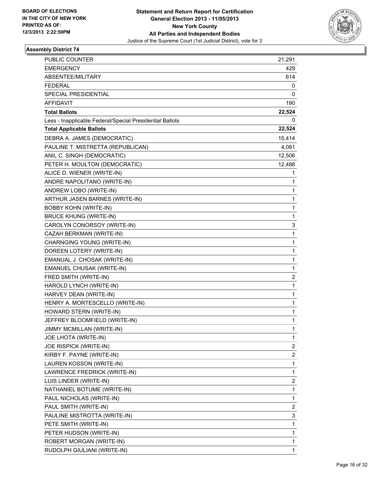

| <b>PUBLIC COUNTER</b>                                    | 21,291 |
|----------------------------------------------------------|--------|
| <b>EMERGENCY</b>                                         | 429    |
| ABSENTEE/MILITARY                                        | 614    |
| <b>FEDERAL</b>                                           | 0      |
| SPECIAL PRESIDENTIAL                                     | 0      |
| AFFIDAVIT                                                | 190    |
| <b>Total Ballots</b>                                     | 22,524 |
| Less - Inapplicable Federal/Special Presidential Ballots | 0      |
| <b>Total Applicable Ballots</b>                          | 22,524 |
| DEBRA A. JAMES (DEMOCRATIC)                              | 15,414 |
| PAULINE T. MISTRETTA (REPUBLICAN)                        | 4,081  |
| ANIL C. SINGH (DEMOCRATIC)                               | 12,506 |
| PETER H. MOULTON (DEMOCRATIC)                            | 12,488 |
| ALICE D. WIENER (WRITE-IN)                               | 1      |
| ANDRE NAPOLITANO (WRITE-IN)                              | 1      |
| ANDREW LOBO (WRITE-IN)                                   | 1      |
| ARTHUR JASEN BARNES (WRITE-IN)                           | 1      |
| <b>BOBBY KOHN (WRITE-IN)</b>                             | 1      |
| <b>BRUCE KHUNG (WRITE-IN)</b>                            | 1      |
| CAROLYN CONORSOY (WRITE-IN)                              | 3      |
| CAZAH BERKMAN (WRITE-IN)                                 | 1      |
| CHARNGING YOUNG (WRITE-IN)                               | 1      |
| DOREEN LOTERY (WRITE-IN)                                 | 1      |
| EMANUAL J. CHOSAK (WRITE-IN)                             | 1      |
| EMANUEL CHUSAK (WRITE-IN)                                | 1      |
| FRED SMITH (WRITE-IN)                                    | 2      |
| HAROLD LYNCH (WRITE-IN)                                  | 1      |
| HARVEY DEAN (WRITE-IN)                                   | 1      |
| HENRY A. MORTESCELLO (WRITE-IN)                          | 1      |
| HOWARD STERN (WRITE-IN)                                  | 1      |
| JEFFREY BLOOMFIELD (WRITE-IN)                            | 1      |
| JIMMY MCMILLAN (WRITE-IN)                                | 1      |
| JOE LHOTA (WRITE-IN)                                     | 1      |
| JOE RISPICK (WRITE-IN)                                   | 2      |
| KIRBY F. PAYNE (WRITE-IN)                                | 2      |
| LAUREN KOSSON (WRITE-IN)                                 | 1      |
| LAWRENCE FREDRICK (WRITE-IN)                             | 1      |
| LUIS LINDER (WRITE-IN)                                   | 2      |
| NATHANIEL BOTUME (WRITE-IN)                              | 1      |
| PAUL NICHOLAS (WRITE-IN)                                 | 1      |
| PAUL SMITH (WRITE-IN)                                    | 2      |
| PAULINE MISTROTTA (WRITE-IN)                             | 3      |
| PETE SMITH (WRITE-IN)                                    | 1      |
| PETER HUDSON (WRITE-IN)                                  | 1      |
| ROBERT MORGAN (WRITE-IN)                                 | 1      |
| RUDOLPH GIULIANI (WRITE-IN)                              | 1      |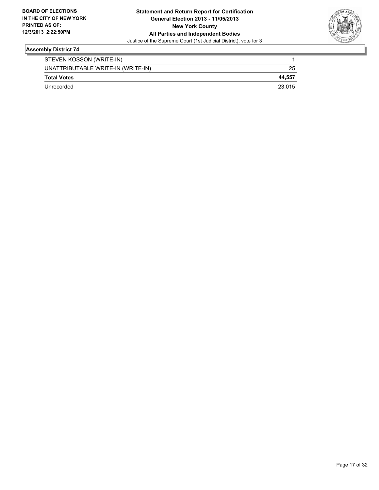

| STEVEN KOSSON (WRITE-IN)           |        |
|------------------------------------|--------|
| UNATTRIBUTABLE WRITE-IN (WRITE-IN) | 25     |
| <b>Total Votes</b>                 | 44.557 |
| Unrecorded                         | 23.015 |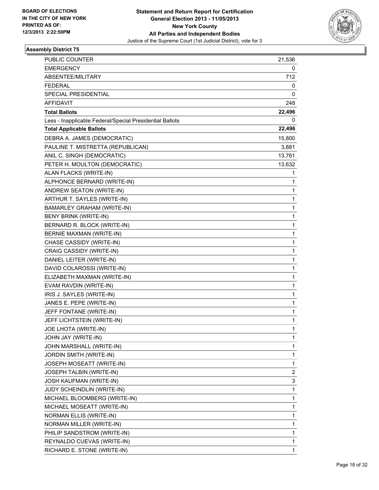

| PUBLIC COUNTER                                           | 21,536       |
|----------------------------------------------------------|--------------|
| <b>EMERGENCY</b>                                         | 0            |
| <b>ABSENTEE/MILITARY</b>                                 | 712          |
| <b>FEDERAL</b>                                           | 0            |
| SPECIAL PRESIDENTIAL                                     | 0            |
| AFFIDAVIT                                                | 248          |
| <b>Total Ballots</b>                                     | 22,496       |
| Less - Inapplicable Federal/Special Presidential Ballots | 0            |
| <b>Total Applicable Ballots</b>                          | 22,496       |
| DEBRA A. JAMES (DEMOCRATIC)                              | 15,800       |
| PAULINE T. MISTRETTA (REPUBLICAN)                        | 3,881        |
| ANIL C. SINGH (DEMOCRATIC)                               | 13,761       |
| PETER H. MOULTON (DEMOCRATIC)                            | 13,632       |
| ALAN FLACKS (WRITE-IN)                                   | 1            |
| ALPHONCE BERNARD (WRITE-IN)                              | 1            |
| ANDREW SEATON (WRITE-IN)                                 | 1            |
| ARTHUR T. SAYLES (WRITE-IN)                              | 1            |
| <b>BAMARLEY GRAHAM (WRITE-IN)</b>                        | 1            |
| BENY BRINK (WRITE-IN)                                    | 1            |
| BERNARD R. BLOCK (WRITE-IN)                              | $\mathbf{1}$ |
| BERNIE MAXMAN (WRITE-IN)                                 | 1            |
| CHASE CASSIDY (WRITE-IN)                                 | 1            |
| CRAIG CASSIDY (WRITE-IN)                                 | $\mathbf{1}$ |
| DANIEL LEITER (WRITE-IN)                                 | 1            |
| DAVID COLAROSSI (WRITE-IN)                               | 1            |
| ELIZABETH MAXMAN (WRITE-IN)                              | $\mathbf{1}$ |
| EVAM RAVDIN (WRITE-IN)                                   | 1            |
| IRIS J. SAYLES (WRITE-IN)                                | 1            |
| JANES E. PEPE (WRITE-IN)                                 | $\mathbf{1}$ |
| JEFF FONTANE (WRITE-IN)                                  | 1            |
| JEFF LICHTSTEIN (WRITE-IN)                               | 1            |
| JOE LHOTA (WRITE-IN)                                     | 1            |
| JOHN JAY (WRITE-IN)                                      | 1            |
| JOHN MARSHALL (WRITE-IN)                                 | 1            |
| JORDIN SMITH (WRITE-IN)                                  | 1            |
| JOSEPH MOSEATT (WRITE-IN)                                | 1            |
| JOSEPH TALBIN (WRITE-IN)                                 | 2            |
| JOSH KAUFMAN (WRITE-IN)                                  | 3            |
| JUDY SCHEINDLIN (WRITE-IN)                               | 1            |
| MICHAEL BLOOMBERG (WRITE-IN)                             | 1            |
| MICHAEL MOSEATT (WRITE-IN)                               | 1            |
| NORMAN ELLIS (WRITE-IN)                                  | 1            |
| NORMAN MILLER (WRITE-IN)                                 | 1            |
| PHILIP SANDSTROM (WRITE-IN)                              | 1            |
| REYNALDO CUEVAS (WRITE-IN)                               | 1            |
| RICHARD E. STONE (WRITE-IN)                              | 1            |
|                                                          |              |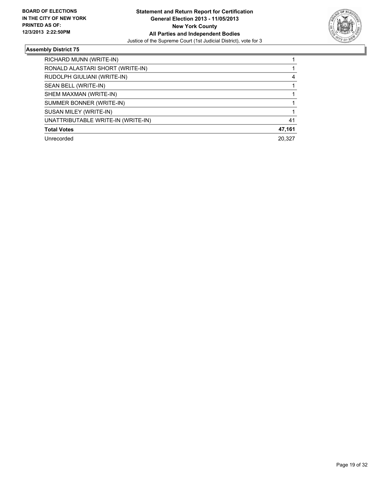

| RICHARD MUNN (WRITE-IN)            |        |
|------------------------------------|--------|
| RONALD ALASTARI SHORT (WRITE-IN)   |        |
| RUDOLPH GIULIANI (WRITE-IN)        | 4      |
| SEAN BELL (WRITE-IN)               |        |
| SHEM MAXMAN (WRITE-IN)             |        |
| SUMMER BONNER (WRITE-IN)           |        |
| SUSAN MILEY (WRITE-IN)             |        |
| UNATTRIBUTABLE WRITE-IN (WRITE-IN) | 41     |
| <b>Total Votes</b>                 | 47,161 |
| Unrecorded                         | 20.327 |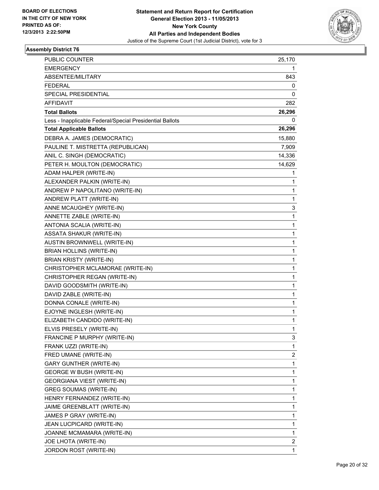

| PUBLIC COUNTER                                           | 25,170                  |
|----------------------------------------------------------|-------------------------|
| <b>EMERGENCY</b>                                         | 1                       |
| ABSENTEE/MILITARY                                        | 843                     |
| <b>FEDERAL</b>                                           | 0                       |
| <b>SPECIAL PRESIDENTIAL</b>                              | 0                       |
| AFFIDAVIT                                                | 282                     |
| <b>Total Ballots</b>                                     | 26,296                  |
| Less - Inapplicable Federal/Special Presidential Ballots | 0                       |
| <b>Total Applicable Ballots</b>                          | 26,296                  |
| DEBRA A. JAMES (DEMOCRATIC)                              | 15,880                  |
| PAULINE T. MISTRETTA (REPUBLICAN)                        | 7,909                   |
| ANIL C. SINGH (DEMOCRATIC)                               | 14,336                  |
| PETER H. MOULTON (DEMOCRATIC)                            | 14,629                  |
| ADAM HALPER (WRITE-IN)                                   | 1                       |
| ALEXANDER PALKIN (WRITE-IN)                              | 1                       |
| ANDREW P NAPOLITANO (WRITE-IN)                           | 1                       |
| ANDREW PLATT (WRITE-IN)                                  | 1                       |
| ANNE MCAUGHEY (WRITE-IN)                                 | 3                       |
| ANNETTE ZABLE (WRITE-IN)                                 | 1                       |
| ANTONIA SCALIA (WRITE-IN)                                | 1                       |
| ASSATA SHAKUR (WRITE-IN)                                 | $\mathbf 1$             |
| AUSTIN BROWNWELL (WRITE-IN)                              | 1                       |
| <b>BRIAN HOLLINS (WRITE-IN)</b>                          | 1                       |
| <b>BRIAN KRISTY (WRITE-IN)</b>                           | 1                       |
| CHRISTOPHER MCLAMORAE (WRITE-IN)                         | 1                       |
| CHRISTOPHER REGAN (WRITE-IN)                             | 1                       |
| DAVID GOODSMITH (WRITE-IN)                               | $\mathbf 1$             |
| DAVID ZABLE (WRITE-IN)                                   | 1                       |
| DONNA CONALE (WRITE-IN)                                  | 1                       |
| EJOYNE INGLESH (WRITE-IN)                                | $\mathbf 1$             |
| ELIZABETH CANDIDO (WRITE-IN)                             | 1                       |
| ELVIS PRESELY (WRITE-IN)                                 | 1                       |
| FRANCINE P MURPHY (WRITE-IN)                             | 3                       |
| FRANK UZZI (WRITE-IN)                                    | 1                       |
| FRED UMANE (WRITE-IN)                                    | $\overline{\mathbf{c}}$ |
| <b>GARY GUNTHER (WRITE-IN)</b>                           | 1                       |
| <b>GEORGE W BUSH (WRITE-IN)</b>                          | 1                       |
| <b>GEORGIANA VIEST (WRITE-IN)</b>                        | 1                       |
| <b>GREG SOUMAS (WRITE-IN)</b>                            | 1                       |
| HENRY FERNANDEZ (WRITE-IN)                               | 1                       |
| JAIME GREENBLATT (WRITE-IN)                              | 1                       |
| JAMES P GRAY (WRITE-IN)                                  | 1                       |
| JEAN LUCPICARD (WRITE-IN)                                | 1                       |
| JOANNE MCMAMARA (WRITE-IN)                               | 1                       |
| JOE LHOTA (WRITE-IN)                                     | 2                       |
| JORDON ROST (WRITE-IN)                                   | 1                       |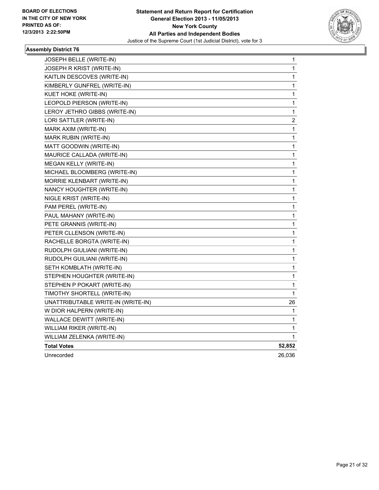

| JOSEPH BELLE (WRITE-IN)            | 1           |
|------------------------------------|-------------|
| JOSEPH R KRIST (WRITE-IN)          | 1           |
| KAITLIN DESCOVES (WRITE-IN)        | 1           |
| KIMBERLY GUNFREL (WRITE-IN)        | 1           |
| KUET HOKE (WRITE-IN)               | 1           |
| LEOPOLD PIERSON (WRITE-IN)         | $\mathbf 1$ |
| LEROY JETHRO GIBBS (WRITE-IN)      | $\mathbf 1$ |
| LORI SATTLER (WRITE-IN)            | 2           |
| MARK AXIM (WRITE-IN)               | 1           |
| MARK RUBIN (WRITE-IN)              | 1           |
| MATT GOODWIN (WRITE-IN)            | 1           |
| MAURICE CALLADA (WRITE-IN)         | 1           |
| MEGAN KELLY (WRITE-IN)             | 1           |
| MICHAEL BLOOMBERG (WRITE-IN)       | 1           |
| MORRIE KLENBART (WRITE-IN)         | 1           |
| NANCY HOUGHTER (WRITE-IN)          | 1           |
| NIGLE KRIST (WRITE-IN)             | 1           |
| PAM PEREL (WRITE-IN)               | 1           |
| PAUL MAHANY (WRITE-IN)             | 1           |
| PETE GRANNIS (WRITE-IN)            | 1           |
| PETER CLLENSON (WRITE-IN)          | 1           |
| RACHELLE BORGTA (WRITE-IN)         | 1           |
| RUDOLPH GIULIANI (WRITE-IN)        | 1           |
| RUDOLPH GUILIANI (WRITE-IN)        | 1           |
| SETH KOMBLATH (WRITE-IN)           | 1           |
| STEPHEN HOUGHTER (WRITE-IN)        | 1           |
| STEPHEN P POKART (WRITE-IN)        | 1           |
| TIMOTHY SHORTELL (WRITE-IN)        | 1           |
| UNATTRIBUTABLE WRITE-IN (WRITE-IN) | 26          |
| W DIOR HALPERN (WRITE-IN)          | 1           |
| WALLACE DEWITT (WRITE-IN)          | 1           |
| WILLIAM RIKER (WRITE-IN)           | 1           |
| WILLIAM ZELENKA (WRITE-IN)         | 1           |
| <b>Total Votes</b>                 | 52,852      |
| Unrecorded                         | 26,036      |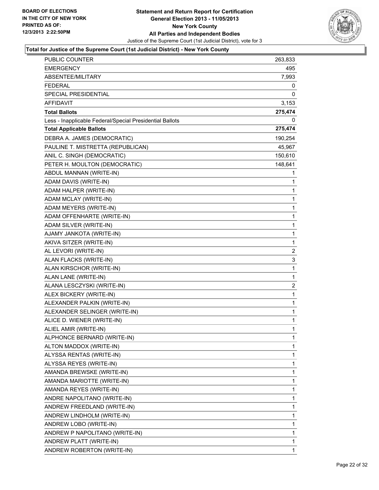

| <b>PUBLIC COUNTER</b>                                    | 263,833      |
|----------------------------------------------------------|--------------|
| <b>EMERGENCY</b>                                         | 495          |
| ABSENTEE/MILITARY                                        | 7,993        |
| <b>FEDERAL</b>                                           | 0            |
| SPECIAL PRESIDENTIAL                                     | 0            |
| <b>AFFIDAVIT</b>                                         | 3,153        |
| <b>Total Ballots</b>                                     | 275,474      |
| Less - Inapplicable Federal/Special Presidential Ballots |              |
| <b>Total Applicable Ballots</b>                          | 275,474      |
| DEBRA A. JAMES (DEMOCRATIC)                              | 190,254      |
| PAULINE T. MISTRETTA (REPUBLICAN)                        | 45,967       |
| ANIL C. SINGH (DEMOCRATIC)                               | 150,610      |
| PETER H. MOULTON (DEMOCRATIC)                            | 148,641      |
| ABDUL MANNAN (WRITE-IN)                                  | 1            |
| ADAM DAVIS (WRITE-IN)                                    | 1            |
| ADAM HALPER (WRITE-IN)                                   | 1            |
| ADAM MCLAY (WRITE-IN)                                    | 1            |
| ADAM MEYERS (WRITE-IN)                                   | 1            |
| ADAM OFFENHARTE (WRITE-IN)                               | 1            |
| ADAM SILVER (WRITE-IN)                                   | 1            |
| AJAMY JANKOTA (WRITE-IN)                                 | $\mathbf{1}$ |
| AKIVA SITZER (WRITE-IN)                                  | 1            |
| AL LEVORI (WRITE-IN)                                     | 2            |
| ALAN FLACKS (WRITE-IN)                                   | 3            |
| ALAN KIRSCHOR (WRITE-IN)                                 | 1            |
| ALAN LANE (WRITE-IN)                                     | $\mathbf{1}$ |
| ALANA LESCZYSKI (WRITE-IN)                               | 2            |
| ALEX BICKERY (WRITE-IN)                                  | 1            |
| ALEXANDER PALKIN (WRITE-IN)                              | $\mathbf{1}$ |
| ALEXANDER SELINGER (WRITE-IN)                            | 1            |
| ALICE D. WIENER (WRITE-IN)                               | 1            |
| ALIEL AMIR (WRITE-IN)                                    | 1            |
| ALPHONCE BERNARD (WRITE-IN)                              | 1            |
| ALTON MADDOX (WRITE-IN)                                  | 1            |
| ALYSSA RENTAS (WRITE-IN)                                 | 1            |
| ALYSSA REYES (WRITE-IN)                                  | 1            |
| AMANDA BREWSKE (WRITE-IN)                                | 1            |
| AMANDA MARIOTTE (WRITE-IN)                               | 1            |
| AMANDA REYES (WRITE-IN)                                  | 1            |
| ANDRE NAPOLITANO (WRITE-IN)                              | 1            |
| ANDREW FREEDLAND (WRITE-IN)                              | 1            |
| ANDREW LINDHOLM (WRITE-IN)                               | 1            |
| ANDREW LOBO (WRITE-IN)                                   | 1            |
| ANDREW P NAPOLITANO (WRITE-IN)                           | 1            |
| ANDREW PLATT (WRITE-IN)                                  | 1            |
| ANDREW ROBERTON (WRITE-IN)                               | 1            |
|                                                          |              |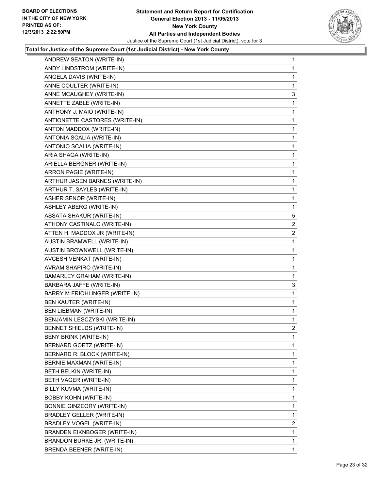

| ANDREW SEATON (WRITE-IN)          | 1              |
|-----------------------------------|----------------|
| ANDY LINDSTROM (WRITE-IN)         | 1              |
| ANGELA DAVIS (WRITE-IN)           | 1              |
| ANNE COULTER (WRITE-IN)           | 1              |
| ANNE MCAUGHEY (WRITE-IN)          | 3              |
| ANNETTE ZABLE (WRITE-IN)          | 1              |
| ANTHONY J. MAIO (WRITE-IN)        | 1              |
| ANTIONETTE CASTORES (WRITE-IN)    | 1              |
| ANTON MADDOX (WRITE-IN)           | 1              |
| ANTONIA SCALIA (WRITE-IN)         | 1              |
| ANTONIO SCALIA (WRITE-IN)         | 1              |
| ARIA SHAGA (WRITE-IN)             | 1              |
| ARIELLA BERGNER (WRITE-IN)        | 1              |
| ARRON PAGIE (WRITE-IN)            | 1              |
| ARTHUR JASEN BARNES (WRITE-IN)    | 1              |
| ARTHUR T. SAYLES (WRITE-IN)       | 1              |
| ASHER SENOR (WRITE-IN)            | 1              |
| ASHLEY ABERG (WRITE-IN)           | 1              |
| <b>ASSATA SHAKUR (WRITE-IN)</b>   | 5              |
| ATHONY CASTINALO (WRITE-IN)       | 2              |
| ATTEN H. MADDOX JR (WRITE-IN)     | 2              |
| AUSTIN BRAMWELL (WRITE-IN)        | 1              |
| AUSTIN BROWNWELL (WRITE-IN)       | 1              |
| AVCESH VENKAT (WRITE-IN)          | 1              |
| AVRAM SHAPIRO (WRITE-IN)          | 1              |
| <b>BAMARLEY GRAHAM (WRITE-IN)</b> | 1              |
| BARBARA JAFFE (WRITE-IN)          | 3              |
| BARRY M FRIOHLINGER (WRITE-IN)    | 1              |
| BEN KAUTER (WRITE-IN)             | 1              |
| BEN LIEBMAN (WRITE-IN)            | 1              |
| BENJAMIN LESCZYSKI (WRITE-IN)     | 1              |
| <b>BENNET SHIELDS (WRITE-IN)</b>  | $\overline{2}$ |
| BENY BRINK (WRITE-IN)             | 1              |
| BERNARD GOETZ (WRITE-IN)          | 1              |
| BERNARD R. BLOCK (WRITE-IN)       | 1              |
| BERNIE MAXMAN (WRITE-IN)          | 1              |
| BETH BELKIN (WRITE-IN)            | 1              |
| BETH VAGER (WRITE-IN)             | 1              |
| BILLY KUVMA (WRITE-IN)            | 1              |
| <b>BOBBY KOHN (WRITE-IN)</b>      | 1              |
| BONNIE GINZEORY (WRITE-IN)        | 1              |
| <b>BRADLEY GELLER (WRITE-IN)</b>  | 1              |
| BRADLEY VOGEL (WRITE-IN)          | 2              |
| BRANDEN EIKNBOGER (WRITE-IN)      | 1              |
| BRANDON BURKE JR. (WRITE-IN)      | 1              |
| BRENDA BEENER (WRITE-IN)          | 1              |
|                                   |                |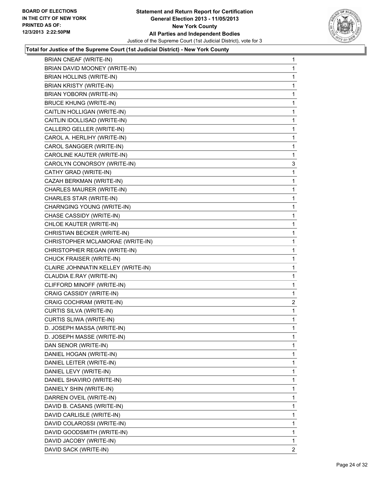

| BRIAN CNEAF (WRITE-IN)             | 1              |
|------------------------------------|----------------|
| BRIAN DAVID MOONEY (WRITE-IN)      | 1              |
| BRIAN HOLLINS (WRITE-IN)           | 1              |
| <b>BRIAN KRISTY (WRITE-IN)</b>     | 1              |
| BRIAN YOBORN (WRITE-IN)            | 1              |
| <b>BRUCE KHUNG (WRITE-IN)</b>      | 1              |
| CAITLIN HOLLIGAN (WRITE-IN)        | 1              |
| CAITLIN IDOLLISAD (WRITE-IN)       | 1              |
| CALLERO GELLER (WRITE-IN)          | 1              |
| CAROL A. HERLIHY (WRITE-IN)        | 1              |
| CAROL SANGGER (WRITE-IN)           | 1              |
| CAROLINE KAUTER (WRITE-IN)         | 1              |
| CAROLYN CONORSOY (WRITE-IN)        | 3              |
| CATHY GRAD (WRITE-IN)              | 1              |
| CAZAH BERKMAN (WRITE-IN)           | 1              |
| CHARLES MAURER (WRITE-IN)          | 1              |
| CHARLES STAR (WRITE-IN)            | 1              |
| CHARNGING YOUNG (WRITE-IN)         | 1              |
| CHASE CASSIDY (WRITE-IN)           | 1              |
| CHLOE KAUTER (WRITE-IN)            | 1              |
| CHRISTIAN BECKER (WRITE-IN)        | 1              |
| CHRISTOPHER MCLAMORAE (WRITE-IN)   | 1              |
| CHRISTOPHER REGAN (WRITE-IN)       | 1              |
| CHUCK FRAISER (WRITE-IN)           | 1              |
| CLAIRE JOHNNATIN KELLEY (WRITE-IN) | 1              |
| CLAUDIA E.RAY (WRITE-IN)           | 1              |
| CLIFFORD MINOFF (WRITE-IN)         | 1              |
| CRAIG CASSIDY (WRITE-IN)           | 1              |
| CRAIG COCHRAM (WRITE-IN)           | $\overline{a}$ |
| CURTIS SILVA (WRITE-IN)            | 1              |
| CURTIS SLIWA (WRITE-IN)            | 1              |
| D. JOSEPH MASSA (WRITE-IN)         | 1              |
| D. JOSEPH MASSE (WRITE-IN)         | 1              |
| DAN SENOR (WRITE-IN)               | 1              |
| DANIEL HOGAN (WRITE-IN)            | 1              |
| DANIEL LEITER (WRITE-IN)           | 1              |
| DANIEL LEVY (WRITE-IN)             | 1              |
| DANIEL SHAVIRO (WRITE-IN)          | 1              |
| DANIELY SHIN (WRITE-IN)            | 1              |
| DARREN OVEIL (WRITE-IN)            | 1              |
| DAVID B. CASANS (WRITE-IN)         | 1              |
| DAVID CARLISLE (WRITE-IN)          | 1              |
| DAVID COLAROSSI (WRITE-IN)         | 1              |
| DAVID GOODSMITH (WRITE-IN)         | 1              |
| DAVID JACOBY (WRITE-IN)            | 1              |
| DAVID SACK (WRITE-IN)              | $\mathbf{2}$   |
|                                    |                |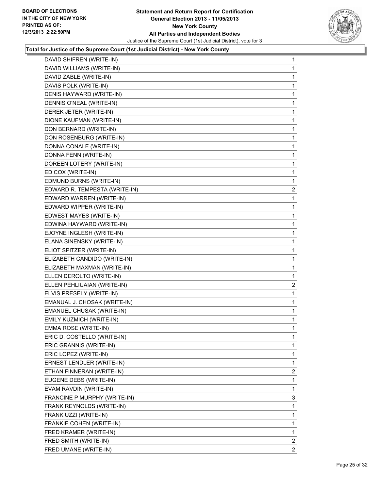

| DAVID SHIFREN (WRITE-IN) | 1                                                                                                                                                                                                                                                                                                                                                                                                                                                                                                                                                                                                                                                                                                                                                                                                                                                                                                                                                                                                                                                                                                                                                                                                                                                                                             |
|--------------------------|-----------------------------------------------------------------------------------------------------------------------------------------------------------------------------------------------------------------------------------------------------------------------------------------------------------------------------------------------------------------------------------------------------------------------------------------------------------------------------------------------------------------------------------------------------------------------------------------------------------------------------------------------------------------------------------------------------------------------------------------------------------------------------------------------------------------------------------------------------------------------------------------------------------------------------------------------------------------------------------------------------------------------------------------------------------------------------------------------------------------------------------------------------------------------------------------------------------------------------------------------------------------------------------------------|
|                          | 1                                                                                                                                                                                                                                                                                                                                                                                                                                                                                                                                                                                                                                                                                                                                                                                                                                                                                                                                                                                                                                                                                                                                                                                                                                                                                             |
|                          | 1                                                                                                                                                                                                                                                                                                                                                                                                                                                                                                                                                                                                                                                                                                                                                                                                                                                                                                                                                                                                                                                                                                                                                                                                                                                                                             |
|                          | 1                                                                                                                                                                                                                                                                                                                                                                                                                                                                                                                                                                                                                                                                                                                                                                                                                                                                                                                                                                                                                                                                                                                                                                                                                                                                                             |
|                          | 1                                                                                                                                                                                                                                                                                                                                                                                                                                                                                                                                                                                                                                                                                                                                                                                                                                                                                                                                                                                                                                                                                                                                                                                                                                                                                             |
|                          | 1                                                                                                                                                                                                                                                                                                                                                                                                                                                                                                                                                                                                                                                                                                                                                                                                                                                                                                                                                                                                                                                                                                                                                                                                                                                                                             |
|                          | 1                                                                                                                                                                                                                                                                                                                                                                                                                                                                                                                                                                                                                                                                                                                                                                                                                                                                                                                                                                                                                                                                                                                                                                                                                                                                                             |
|                          | 1                                                                                                                                                                                                                                                                                                                                                                                                                                                                                                                                                                                                                                                                                                                                                                                                                                                                                                                                                                                                                                                                                                                                                                                                                                                                                             |
|                          | 1                                                                                                                                                                                                                                                                                                                                                                                                                                                                                                                                                                                                                                                                                                                                                                                                                                                                                                                                                                                                                                                                                                                                                                                                                                                                                             |
|                          | 1                                                                                                                                                                                                                                                                                                                                                                                                                                                                                                                                                                                                                                                                                                                                                                                                                                                                                                                                                                                                                                                                                                                                                                                                                                                                                             |
|                          | 1                                                                                                                                                                                                                                                                                                                                                                                                                                                                                                                                                                                                                                                                                                                                                                                                                                                                                                                                                                                                                                                                                                                                                                                                                                                                                             |
|                          | 1                                                                                                                                                                                                                                                                                                                                                                                                                                                                                                                                                                                                                                                                                                                                                                                                                                                                                                                                                                                                                                                                                                                                                                                                                                                                                             |
|                          | 1                                                                                                                                                                                                                                                                                                                                                                                                                                                                                                                                                                                                                                                                                                                                                                                                                                                                                                                                                                                                                                                                                                                                                                                                                                                                                             |
|                          | 1                                                                                                                                                                                                                                                                                                                                                                                                                                                                                                                                                                                                                                                                                                                                                                                                                                                                                                                                                                                                                                                                                                                                                                                                                                                                                             |
|                          | 1                                                                                                                                                                                                                                                                                                                                                                                                                                                                                                                                                                                                                                                                                                                                                                                                                                                                                                                                                                                                                                                                                                                                                                                                                                                                                             |
|                          | $\mathbf{2}$                                                                                                                                                                                                                                                                                                                                                                                                                                                                                                                                                                                                                                                                                                                                                                                                                                                                                                                                                                                                                                                                                                                                                                                                                                                                                  |
|                          | 1                                                                                                                                                                                                                                                                                                                                                                                                                                                                                                                                                                                                                                                                                                                                                                                                                                                                                                                                                                                                                                                                                                                                                                                                                                                                                             |
|                          | 1                                                                                                                                                                                                                                                                                                                                                                                                                                                                                                                                                                                                                                                                                                                                                                                                                                                                                                                                                                                                                                                                                                                                                                                                                                                                                             |
|                          | 1                                                                                                                                                                                                                                                                                                                                                                                                                                                                                                                                                                                                                                                                                                                                                                                                                                                                                                                                                                                                                                                                                                                                                                                                                                                                                             |
|                          | 1                                                                                                                                                                                                                                                                                                                                                                                                                                                                                                                                                                                                                                                                                                                                                                                                                                                                                                                                                                                                                                                                                                                                                                                                                                                                                             |
|                          | 1                                                                                                                                                                                                                                                                                                                                                                                                                                                                                                                                                                                                                                                                                                                                                                                                                                                                                                                                                                                                                                                                                                                                                                                                                                                                                             |
|                          | 1                                                                                                                                                                                                                                                                                                                                                                                                                                                                                                                                                                                                                                                                                                                                                                                                                                                                                                                                                                                                                                                                                                                                                                                                                                                                                             |
|                          | 1                                                                                                                                                                                                                                                                                                                                                                                                                                                                                                                                                                                                                                                                                                                                                                                                                                                                                                                                                                                                                                                                                                                                                                                                                                                                                             |
|                          | 1                                                                                                                                                                                                                                                                                                                                                                                                                                                                                                                                                                                                                                                                                                                                                                                                                                                                                                                                                                                                                                                                                                                                                                                                                                                                                             |
|                          | 1                                                                                                                                                                                                                                                                                                                                                                                                                                                                                                                                                                                                                                                                                                                                                                                                                                                                                                                                                                                                                                                                                                                                                                                                                                                                                             |
|                          | 1                                                                                                                                                                                                                                                                                                                                                                                                                                                                                                                                                                                                                                                                                                                                                                                                                                                                                                                                                                                                                                                                                                                                                                                                                                                                                             |
|                          | $\overline{2}$                                                                                                                                                                                                                                                                                                                                                                                                                                                                                                                                                                                                                                                                                                                                                                                                                                                                                                                                                                                                                                                                                                                                                                                                                                                                                |
|                          | 1                                                                                                                                                                                                                                                                                                                                                                                                                                                                                                                                                                                                                                                                                                                                                                                                                                                                                                                                                                                                                                                                                                                                                                                                                                                                                             |
|                          | 1                                                                                                                                                                                                                                                                                                                                                                                                                                                                                                                                                                                                                                                                                                                                                                                                                                                                                                                                                                                                                                                                                                                                                                                                                                                                                             |
|                          | 1                                                                                                                                                                                                                                                                                                                                                                                                                                                                                                                                                                                                                                                                                                                                                                                                                                                                                                                                                                                                                                                                                                                                                                                                                                                                                             |
|                          | 1                                                                                                                                                                                                                                                                                                                                                                                                                                                                                                                                                                                                                                                                                                                                                                                                                                                                                                                                                                                                                                                                                                                                                                                                                                                                                             |
|                          | 1                                                                                                                                                                                                                                                                                                                                                                                                                                                                                                                                                                                                                                                                                                                                                                                                                                                                                                                                                                                                                                                                                                                                                                                                                                                                                             |
|                          | 1                                                                                                                                                                                                                                                                                                                                                                                                                                                                                                                                                                                                                                                                                                                                                                                                                                                                                                                                                                                                                                                                                                                                                                                                                                                                                             |
|                          | 1                                                                                                                                                                                                                                                                                                                                                                                                                                                                                                                                                                                                                                                                                                                                                                                                                                                                                                                                                                                                                                                                                                                                                                                                                                                                                             |
|                          | 1                                                                                                                                                                                                                                                                                                                                                                                                                                                                                                                                                                                                                                                                                                                                                                                                                                                                                                                                                                                                                                                                                                                                                                                                                                                                                             |
|                          | 1                                                                                                                                                                                                                                                                                                                                                                                                                                                                                                                                                                                                                                                                                                                                                                                                                                                                                                                                                                                                                                                                                                                                                                                                                                                                                             |
|                          | 2                                                                                                                                                                                                                                                                                                                                                                                                                                                                                                                                                                                                                                                                                                                                                                                                                                                                                                                                                                                                                                                                                                                                                                                                                                                                                             |
|                          | 1                                                                                                                                                                                                                                                                                                                                                                                                                                                                                                                                                                                                                                                                                                                                                                                                                                                                                                                                                                                                                                                                                                                                                                                                                                                                                             |
|                          | 1                                                                                                                                                                                                                                                                                                                                                                                                                                                                                                                                                                                                                                                                                                                                                                                                                                                                                                                                                                                                                                                                                                                                                                                                                                                                                             |
|                          | 3                                                                                                                                                                                                                                                                                                                                                                                                                                                                                                                                                                                                                                                                                                                                                                                                                                                                                                                                                                                                                                                                                                                                                                                                                                                                                             |
|                          | 1                                                                                                                                                                                                                                                                                                                                                                                                                                                                                                                                                                                                                                                                                                                                                                                                                                                                                                                                                                                                                                                                                                                                                                                                                                                                                             |
|                          | 1                                                                                                                                                                                                                                                                                                                                                                                                                                                                                                                                                                                                                                                                                                                                                                                                                                                                                                                                                                                                                                                                                                                                                                                                                                                                                             |
|                          | 1                                                                                                                                                                                                                                                                                                                                                                                                                                                                                                                                                                                                                                                                                                                                                                                                                                                                                                                                                                                                                                                                                                                                                                                                                                                                                             |
|                          | 1                                                                                                                                                                                                                                                                                                                                                                                                                                                                                                                                                                                                                                                                                                                                                                                                                                                                                                                                                                                                                                                                                                                                                                                                                                                                                             |
|                          | 2                                                                                                                                                                                                                                                                                                                                                                                                                                                                                                                                                                                                                                                                                                                                                                                                                                                                                                                                                                                                                                                                                                                                                                                                                                                                                             |
|                          | $\mathbf{2}$                                                                                                                                                                                                                                                                                                                                                                                                                                                                                                                                                                                                                                                                                                                                                                                                                                                                                                                                                                                                                                                                                                                                                                                                                                                                                  |
|                          | DAVID WILLIAMS (WRITE-IN)<br>DAVID ZABLE (WRITE-IN)<br>DAVIS POLK (WRITE-IN)<br>DENIS HAYWARD (WRITE-IN)<br>DENNIS O'NEAL (WRITE-IN)<br>DEREK JETER (WRITE-IN)<br>DIONE KAUFMAN (WRITE-IN)<br>DON BERNARD (WRITE-IN)<br>DON ROSENBURG (WRITE-IN)<br>DONNA CONALE (WRITE-IN)<br>DONNA FENN (WRITE-IN)<br>DOREEN LOTERY (WRITE-IN)<br>ED COX (WRITE-IN)<br>EDMUND BURNS (WRITE-IN)<br>EDWARD R. TEMPESTA (WRITE-IN)<br>EDWARD WARREN (WRITE-IN)<br>EDWARD WIPPER (WRITE-IN)<br>EDWEST MAYES (WRITE-IN)<br>EDWINA HAYWARD (WRITE-IN)<br>EJOYNE INGLESH (WRITE-IN)<br>ELANA SINENSKY (WRITE-IN)<br>ELIOT SPITZER (WRITE-IN)<br>ELIZABETH CANDIDO (WRITE-IN)<br>ELIZABETH MAXMAN (WRITE-IN)<br>ELLEN DEROLTO (WRITE-IN)<br>ELLEN PEHLIUAIAN (WRITE-IN)<br>ELVIS PRESELY (WRITE-IN)<br>EMANUAL J. CHOSAK (WRITE-IN)<br>EMANUEL CHUSAK (WRITE-IN)<br>EMILY KUZMICH (WRITE-IN)<br>EMMA ROSE (WRITE-IN)<br>ERIC D. COSTELLO (WRITE-IN)<br>ERIC GRANNIS (WRITE-IN)<br>ERIC LOPEZ (WRITE-IN)<br>ERNEST LENDLER (WRITE-IN)<br>ETHAN FINNERAN (WRITE-IN)<br>EUGENE DEBS (WRITE-IN)<br>EVAM RAVDIN (WRITE-IN)<br>FRANCINE P MURPHY (WRITE-IN)<br>FRANK REYNOLDS (WRITE-IN)<br>FRANK UZZI (WRITE-IN)<br>FRANKIE COHEN (WRITE-IN)<br>FRED KRAMER (WRITE-IN)<br>FRED SMITH (WRITE-IN)<br>FRED UMANE (WRITE-IN) |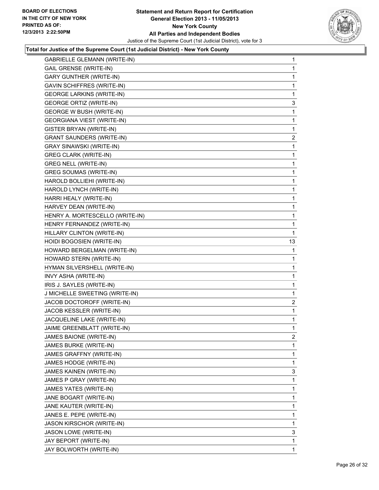

| <b>GABRIELLE GLEMANN (WRITE-IN)</b> | 1              |
|-------------------------------------|----------------|
| <b>GAIL GRENSE (WRITE-IN)</b>       | 1              |
| <b>GARY GUNTHER (WRITE-IN)</b>      | 1              |
| <b>GAVIN SCHIFFRES (WRITE-IN)</b>   | 1              |
| <b>GEORGE LARKINS (WRITE-IN)</b>    | 1              |
| <b>GEORGE ORTIZ (WRITE-IN)</b>      | 3              |
| <b>GEORGE W BUSH (WRITE-IN)</b>     | 1              |
| <b>GEORGIANA VIEST (WRITE-IN)</b>   | 1              |
| GISTER BRYAN (WRITE-IN)             | 1              |
| <b>GRANT SAUNDERS (WRITE-IN)</b>    | $\mathbf{2}$   |
| <b>GRAY SINAWSKI (WRITE-IN)</b>     | 1              |
| <b>GREG CLARK (WRITE-IN)</b>        | 1              |
| <b>GREG NELL (WRITE-IN)</b>         | 1              |
| GREG SOUMAS (WRITE-IN)              | 1              |
| HAROLD BOLLIEHI (WRITE-IN)          | 1              |
| HAROLD LYNCH (WRITE-IN)             | 1              |
| HARRI HEALY (WRITE-IN)              | 1              |
| HARVEY DEAN (WRITE-IN)              | 1              |
| HENRY A. MORTESCELLO (WRITE-IN)     | 1              |
| HENRY FERNANDEZ (WRITE-IN)          | 1              |
| HILLARY CLINTON (WRITE-IN)          | 1              |
| HOIDI BOGOSIEN (WRITE-IN)           | 13             |
| HOWARD BERGELMAN (WRITE-IN)         | 1              |
| HOWARD STERN (WRITE-IN)             | 1              |
| HYMAN SILVERSHELL (WRITE-IN)        | 1              |
| INVY ASHA (WRITE-IN)                | 1              |
| IRIS J. SAYLES (WRITE-IN)           | 1              |
| J MICHELLE SWEETING (WRITE-IN)      | 1              |
| JACOB DOCTOROFF (WRITE-IN)          | 2              |
| JACOB KESSLER (WRITE-IN)            | 1              |
| JACQUELINE LAKE (WRITE-IN)          | 1              |
| JAIME GREENBLATT (WRITE-IN)         | 1              |
| JAMES BAIONE (WRITE-IN)             | $\overline{c}$ |
| JAMES BURKE (WRITE-IN)              | 1              |
| JAMES GRAFFNY (WRITE-IN)            | 1              |
| JAMES HODGE (WRITE-IN)              | 1              |
| JAMES KAINEN (WRITE-IN)             | 3              |
| JAMES P GRAY (WRITE-IN)             | 1              |
| JAMES YATES (WRITE-IN)              | 1              |
| JANE BOGART (WRITE-IN)              | 1              |
| JANE KAUTER (WRITE-IN)              | 1              |
| JANES E. PEPE (WRITE-IN)            | 1              |
| JASON KIRSCHOR (WRITE-IN)           | 1              |
| JASON LOWE (WRITE-IN)               | 3              |
| JAY BEPORT (WRITE-IN)               | 1              |
| JAY BOLWORTH (WRITE-IN)             | $\mathbf{1}$   |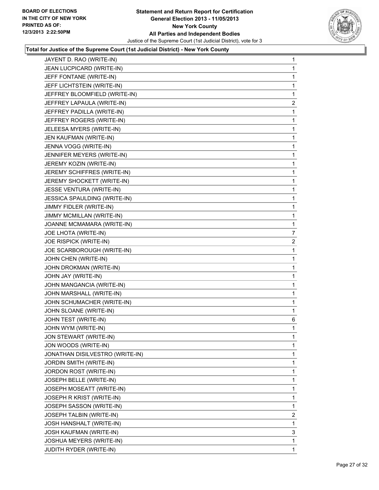

| JAYENT D. RAO (WRITE-IN)        | 1                       |
|---------------------------------|-------------------------|
| JEAN LUCPICARD (WRITE-IN)       | 1                       |
| JEFF FONTANE (WRITE-IN)         | 1                       |
| JEFF LICHTSTEIN (WRITE-IN)      | 1                       |
| JEFFREY BLOOMFIELD (WRITE-IN)   | 1                       |
| JEFFREY LAPAULA (WRITE-IN)      | 2                       |
| JEFFREY PADILLA (WRITE-IN)      | 1                       |
| JEFFREY ROGERS (WRITE-IN)       | 1                       |
| JELEESA MYERS (WRITE-IN)        | 1                       |
| JEN KAUFMAN (WRITE-IN)          | 1                       |
| JENNA VOGG (WRITE-IN)           | 1                       |
| JENNIFER MEYERS (WRITE-IN)      | 1                       |
| JEREMY KOZIN (WRITE-IN)         | 1                       |
| JEREMY SCHIFFRES (WRITE-IN)     | 1                       |
| JEREMY SHOCKETT (WRITE-IN)      | 1                       |
| JESSE VENTURA (WRITE-IN)        | 1                       |
| JESSICA SPAULDING (WRITE-IN)    | 1                       |
| JIMMY FIDLER (WRITE-IN)         | 1                       |
| JIMMY MCMILLAN (WRITE-IN)       | 1                       |
| JOANNE MCMAMARA (WRITE-IN)      | 1                       |
| JOE LHOTA (WRITE-IN)            | 7                       |
| JOE RISPICK (WRITE-IN)          | $\overline{\mathbf{c}}$ |
| JOE SCARBOROUGH (WRITE-IN)      | 1                       |
| JOHN CHEN (WRITE-IN)            | 1                       |
| JOHN DROKMAN (WRITE-IN)         | 1                       |
| JOHN JAY (WRITE-IN)             | 1                       |
| JOHN MANGANCIA (WRITE-IN)       | 1                       |
| JOHN MARSHALL (WRITE-IN)        | 1                       |
| JOHN SCHUMACHER (WRITE-IN)      | 1                       |
| JOHN SLOANE (WRITE-IN)          | 1                       |
| JOHN TEST (WRITE-IN)            | 6                       |
| JOHN WYM (WRITE-IN)             | 1                       |
| <b>JON STEWART (WRITE-IN)</b>   | 1                       |
| JON WOODS (WRITE-IN)            | 1                       |
| JONATHAN DISILVESTRO (WRITE-IN) | 1                       |
| JORDIN SMITH (WRITE-IN)         | 1                       |
| JORDON ROST (WRITE-IN)          | 1                       |
| JOSEPH BELLE (WRITE-IN)         | 1                       |
| JOSEPH MOSEATT (WRITE-IN)       | 1                       |
| JOSEPH R KRIST (WRITE-IN)       | 1                       |
| JOSEPH SASSON (WRITE-IN)        | 1                       |
| JOSEPH TALBIN (WRITE-IN)        | 2                       |
| JOSH HANSHALT (WRITE-IN)        | 1                       |
| JOSH KAUFMAN (WRITE-IN)         | 3                       |
| JOSHUA MEYERS (WRITE-IN)        | 1                       |
| JUDITH RYDER (WRITE-IN)         | 1                       |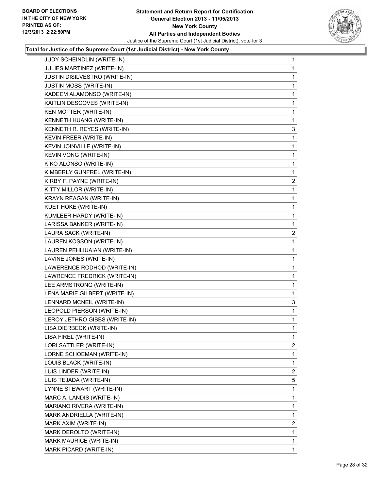

| <b>JUDY SCHEINDLIN (WRITE-IN)</b> | $\mathbf{1}$   |
|-----------------------------------|----------------|
| JULIES MARTINEZ (WRITE-IN)        | 1              |
| JUSTIN DISILVESTRO (WRITE-IN)     | 1              |
| JUSTIN MOSS (WRITE-IN)            | 1              |
| KADEEM ALAMONSO (WRITE-IN)        | 1              |
| KAITLIN DESCOVES (WRITE-IN)       | 1              |
| KEN MOTTER (WRITE-IN)             | 1              |
| KENNETH HUANG (WRITE-IN)          | $\mathbf{1}$   |
| KENNETH R. REYES (WRITE-IN)       | 3              |
| KEVIN FREER (WRITE-IN)            | 1              |
| KEVIN JOINVILLE (WRITE-IN)        | 1              |
| KEVIN VONG (WRITE-IN)             | 1              |
| KIKO ALONSO (WRITE-IN)            | $\mathbf 1$    |
| KIMBERLY GUNFREL (WRITE-IN)       | $\mathbf{1}$   |
| KIRBY F. PAYNE (WRITE-IN)         | $\overline{2}$ |
| KITTY MILLOR (WRITE-IN)           | 1              |
| KRAYN REAGAN (WRITE-IN)           | 1              |
| KUET HOKE (WRITE-IN)              | 1              |
| KUMLEER HARDY (WRITE-IN)          | $\mathbf 1$    |
| LARISSA BANKER (WRITE-IN)         | $\mathbf{1}$   |
| LAURA SACK (WRITE-IN)             | $\overline{2}$ |
| LAUREN KOSSON (WRITE-IN)          | 1              |
| LAUREN PEHLIUAIAN (WRITE-IN)      | 1              |
| LAVINE JONES (WRITE-IN)           | 1              |
| LAWERENCE RODHOD (WRITE-IN)       | 1              |
| LAWRENCE FREDRICK (WRITE-IN)      | 1              |
| LEE ARMSTRONG (WRITE-IN)          | 1              |
| LENA MARIE GILBERT (WRITE-IN)     | 1              |
| LENNARD MCNEIL (WRITE-IN)         | 3              |
| LEOPOLD PIERSON (WRITE-IN)        | 1              |
| LEROY JETHRO GIBBS (WRITE-IN)     | $\mathbf 1$    |
| LISA DIERBECK (WRITE-IN)          | 1              |
| LISA FIREL (WRITE-IN)             | 1              |
| LORI SATTLER (WRITE-IN)           | 2              |
| LORNE SCHOEMAN (WRITE-IN)         | 1              |
| LOUIS BLACK (WRITE-IN)            | 1              |
| LUIS LINDER (WRITE-IN)            | $\overline{2}$ |
| LUIS TEJADA (WRITE-IN)            | 5              |
| LYNNE STEWART (WRITE-IN)          | 1              |
| MARC A. LANDIS (WRITE-IN)         | 1              |
| MARIANO RIVERA (WRITE-IN)         | 1              |
| MARK ANDRIELLA (WRITE-IN)         | 1              |
| MARK AXIM (WRITE-IN)              | $\overline{2}$ |
| MARK DEROLTO (WRITE-IN)           | 1              |
| MARK MAURICE (WRITE-IN)           | 1              |
| MARK PICARD (WRITE-IN)            | 1              |
|                                   |                |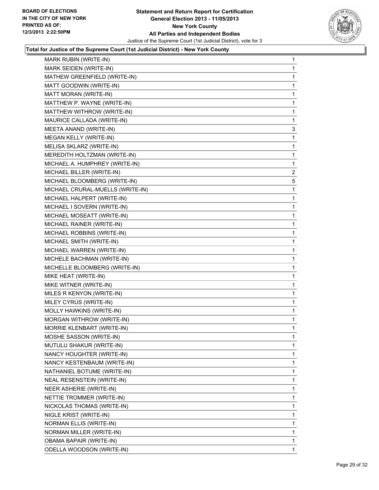

| <b>MARK RUBIN (WRITE-IN)</b>     | 1              |
|----------------------------------|----------------|
| MARK SEIDEN (WRITE-IN)           | 1              |
| MATHEW GREENFIELD (WRITE-IN)     | 1              |
| MATT GOODWIN (WRITE-IN)          | 1              |
| MATT MORAN (WRITE-IN)            | 1              |
| MATTHEW P. WAYNE (WRITE-IN)      | 1              |
| MATTHEW WITHROW (WRITE-IN)       | 1              |
| MAURICE CALLADA (WRITE-IN)       | 1              |
| MEETA ANAND (WRITE-IN)           | 3              |
| MEGAN KELLY (WRITE-IN)           | 1              |
| MELISA SKLARZ (WRITE-IN)         | 1              |
| MEREDITH HOLTZMAN (WRITE-IN)     | 1              |
| MICHAEL A. HUMPHREY (WRITE-IN)   | 1              |
| MICHAEL BILLER (WRITE-IN)        | $\overline{c}$ |
| MICHAEL BLOOMBERG (WRITE-IN)     | 5              |
| MICHAEL CRURAL-MUELLS (WRITE-IN) | 1              |
| MICHAEL HALPERT (WRITE-IN)       | 1              |
| MICHAEL I SOVERN (WRITE-IN)      | 1              |
| MICHAEL MOSEATT (WRITE-IN)       | 1              |
| MICHAEL RAINER (WRITE-IN)        | 1              |
| MICHAEL ROBBINS (WRITE-IN)       | 1              |
| MICHAEL SMITH (WRITE-IN)         | 1              |
| MICHAEL WARREN (WRITE-IN)        | 1              |
| MICHELE BACHMAN (WRITE-IN)       | 1              |
| MICHELLE BLOOMBERG (WRITE-IN)    | 1              |
| MIKE HEAT (WRITE-IN)             | 1              |
| MIKE WITNER (WRITE-IN)           | 1              |
| MILES R KENYON (WRITE-IN)        | 1              |
| MILEY CYRUS (WRITE-IN)           | 1              |
| MOLLY HAWKINS (WRITE-IN)         | 1              |
| MORGAN WITHROW (WRITE-IN)        | 1              |
| MORRIE KLENBART (WRITE-IN)       | 1              |
| MOSHE SASSON (WRITE-IN)          | 1              |
| MUTULU SHAKUR (WRITE-IN)         | 1              |
| NANCY HOUGHTER (WRITE-IN)        | 1              |
| NANCY KESTENBAUM (WRITE-IN)      | 1              |
| NATHANIEL BOTUME (WRITE-IN)      | 1              |
| NEAL RESENSTEIN (WRITE-IN)       | 1              |
| NEER ASHERIE (WRITE-IN)          | 1              |
| NETTIE TROMMER (WRITE-IN)        | 1              |
| NICKOLAS THOMAS (WRITE-IN)       | 1              |
| NIGLE KRIST (WRITE-IN)           | 1              |
| NORMAN ELLIS (WRITE-IN)          | 1              |
| NORMAN MILLER (WRITE-IN)         | 1              |
| <b>OBAMA BAPAIR (WRITE-IN)</b>   | 1              |
| ODELLA WOODSON (WRITE-IN)        | 1              |
|                                  |                |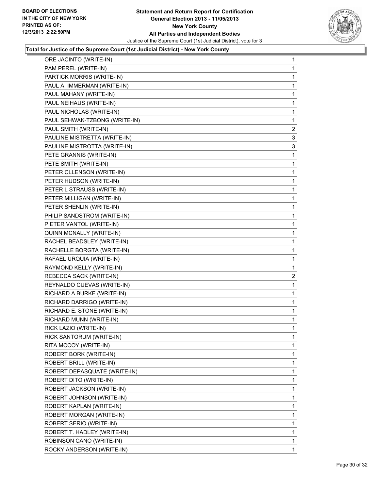

| ORE JACINTO (WRITE-IN)        | 1              |
|-------------------------------|----------------|
| PAM PEREL (WRITE-IN)          | 1              |
| PARTICK MORRIS (WRITE-IN)     | 1              |
| PAUL A. IMMERMAN (WRITE-IN)   | 1              |
| PAUL MAHANY (WRITE-IN)        | 1              |
| PAUL NEIHAUS (WRITE-IN)       | 1              |
| PAUL NICHOLAS (WRITE-IN)      | 1              |
| PAUL SEHWAK-TZBONG (WRITE-IN) | 1              |
| PAUL SMITH (WRITE-IN)         | $\overline{2}$ |
| PAULINE MISTRETTA (WRITE-IN)  | 3              |
| PAULINE MISTROTTA (WRITE-IN)  | 3              |
| PETE GRANNIS (WRITE-IN)       | 1              |
| PETE SMITH (WRITE-IN)         | 1              |
| PETER CLLENSON (WRITE-IN)     | 1              |
| PETER HUDSON (WRITE-IN)       | 1              |
| PETER L STRAUSS (WRITE-IN)    | 1              |
| PETER MILLIGAN (WRITE-IN)     | 1              |
| PETER SHENLIN (WRITE-IN)      | 1              |
| PHILIP SANDSTROM (WRITE-IN)   | 1              |
| PIETER VANTOL (WRITE-IN)      | 1              |
| QUINN MCNALLY (WRITE-IN)      | 1              |
| RACHEL BEADSLEY (WRITE-IN)    | 1              |
| RACHELLE BORGTA (WRITE-IN)    | 1              |
| RAFAEL URQUIA (WRITE-IN)      | 1              |
| RAYMOND KELLY (WRITE-IN)      | 1              |
| REBECCA SACK (WRITE-IN)       | $\overline{c}$ |
| REYNALDO CUEVAS (WRITE-IN)    | 1              |
| RICHARD A BURKE (WRITE-IN)    | 1              |
| RICHARD DARRIGO (WRITE-IN)    | 1              |
| RICHARD E. STONE (WRITE-IN)   | 1              |
| RICHARD MUNN (WRITE-IN)       | 1              |
| RICK LAZIO (WRITE-IN)         | 1              |
| RICK SANTORUM (WRITE-IN)      | 1              |
| RITA MCCOY (WRITE-IN)         | $\mathbf{1}$   |
| ROBERT BORK (WRITE-IN)        | 1              |
| ROBERT BRILL (WRITE-IN)       | 1              |
| ROBERT DEPASQUATE (WRITE-IN)  | 1              |
| ROBERT DITO (WRITE-IN)        | 1              |
| ROBERT JACKSON (WRITE-IN)     | 1              |
| ROBERT JOHNSON (WRITE-IN)     | 1              |
| ROBERT KAPLAN (WRITE-IN)      | 1              |
| ROBERT MORGAN (WRITE-IN)      | 1              |
| ROBERT SERIO (WRITE-IN)       | 1              |
| ROBERT T. HADLEY (WRITE-IN)   | 1              |
| ROBINSON CANO (WRITE-IN)      | 1              |
| ROCKY ANDERSON (WRITE-IN)     | $\mathbf{1}$   |
|                               |                |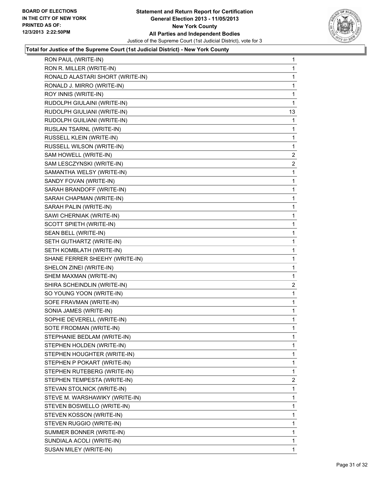

| RON PAUL (WRITE-IN)              | 1              |
|----------------------------------|----------------|
| RON R. MILLER (WRITE-IN)         | 1              |
| RONALD ALASTARI SHORT (WRITE-IN) | 1              |
| RONALD J. MIRRO (WRITE-IN)       | 1              |
| ROY INNIS (WRITE-IN)             | 1              |
| RUDOLPH GIULAINI (WRITE-IN)      | 1              |
| RUDOLPH GIULIANI (WRITE-IN)      | 13             |
| RUDOLPH GUILIANI (WRITE-IN)      | 1              |
| RUSLAN TSARNL (WRITE-IN)         | 1              |
| RUSSELL KLEIN (WRITE-IN)         | 1              |
| RUSSELL WILSON (WRITE-IN)        | 1              |
| SAM HOWELL (WRITE-IN)            | 2              |
| SAM LESCZYNSKI (WRITE-IN)        | $\mathbf{2}$   |
| SAMANTHA WELSY (WRITE-IN)        | 1              |
| SANDY FOVAN (WRITE-IN)           | 1              |
| SARAH BRANDOFF (WRITE-IN)        | 1              |
| SARAH CHAPMAN (WRITE-IN)         | 1              |
| SARAH PALIN (WRITE-IN)           | 1              |
| SAWI CHERNIAK (WRITE-IN)         | 1              |
| SCOTT SPIETH (WRITE-IN)          | 1              |
| SEAN BELL (WRITE-IN)             | 1              |
| SETH GUTHARTZ (WRITE-IN)         | 1              |
| SETH KOMBLATH (WRITE-IN)         | 1              |
| SHANE FERRER SHEEHY (WRITE-IN)   | 1              |
| SHELON ZINEI (WRITE-IN)          | 1              |
| SHEM MAXMAN (WRITE-IN)           | 1              |
| SHIRA SCHEINDLIN (WRITE-IN)      | $\overline{2}$ |
| SO YOUNG YOON (WRITE-IN)         | 1              |
| SOFE FRAVMAN (WRITE-IN)          | 1              |
| SONIA JAMES (WRITE-IN)           | 1              |
| SOPHIE DEVERELL (WRITE-IN)       | 1              |
| SOTE FRODMAN (WRITE-IN)          | 1              |
| STEPHANIE BEDLAM (WRITE-IN)      | 1              |
| STEPHEN HOLDEN (WRITE-IN)        | 1              |
| STEPHEN HOUGHTER (WRITE-IN)      | 1              |
| STEPHEN P POKART (WRITE-IN)      | 1              |
| STEPHEN RUTEBERG (WRITE-IN)      | 1              |
| STEPHEN TEMPESTA (WRITE-IN)      | $\overline{2}$ |
| STEVAN STOLNICK (WRITE-IN)       | 1              |
| STEVE M. WARSHAWIKY (WRITE-IN)   | 1              |
| STEVEN BOSWELLO (WRITE-IN)       | 1              |
| STEVEN KOSSON (WRITE-IN)         | 1              |
| STEVEN RUGGIO (WRITE-IN)         | 1              |
| SUMMER BONNER (WRITE-IN)         | 1              |
| SUNDIALA ACOLI (WRITE-IN)        | 1              |
| SUSAN MILEY (WRITE-IN)           | $\mathbf{1}$   |
|                                  |                |